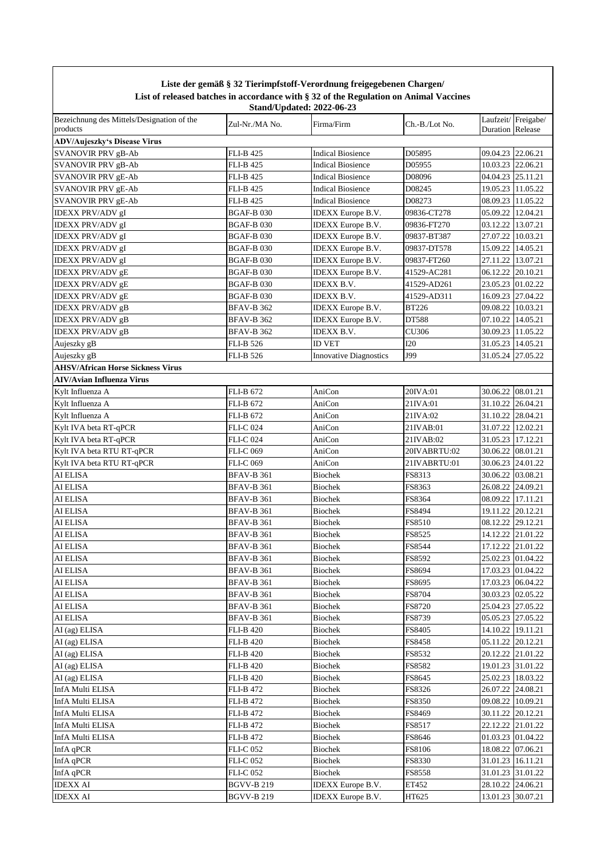|                                                        |                   | Liste der gemäß § 32 Tierimpfstoff-Verordnung freigegebenen Chargen/<br>List of released batches in accordance with § 32 of the Regulation on Animal Vaccines |                |                     |                    |
|--------------------------------------------------------|-------------------|---------------------------------------------------------------------------------------------------------------------------------------------------------------|----------------|---------------------|--------------------|
| Bezeichnung des Mittels/Designation of the<br>products | Zul-Nr./MA No.    | <b>Stand/Updated: 2022-06-23</b><br>Firma/Firm                                                                                                                | Ch.-B./Lot No. | Duration Release    | Laufzeit/Freigabe/ |
| <b>ADV/Aujeszky's Disease Virus</b>                    |                   |                                                                                                                                                               |                |                     |                    |
| <b>SVANOVIR PRV gB-Ab</b>                              | FLI-B 425         | <b>Indical Biosience</b>                                                                                                                                      | D05895         | 09.04.23 22.06.21   |                    |
| SVANOVIR PRV gB-Ab                                     | FLI-B 425         | <b>Indical Biosience</b>                                                                                                                                      | D05955         | 10.03.23 22.06.21   |                    |
| <b>SVANOVIR PRV gE-Ab</b>                              | FLI-B 425         | <b>Indical Biosience</b>                                                                                                                                      | D08096         | 04.04.23 25.11.21   |                    |
| <b>SVANOVIR PRV gE-Ab</b>                              | <b>FLI-B 425</b>  | <b>Indical Biosience</b>                                                                                                                                      | D08245         |                     | 19.05.23 11.05.22  |
| <b>SVANOVIR PRV gE-Ab</b>                              | FLI-B 425         | <b>Indical Biosience</b>                                                                                                                                      | D08273         |                     | 08.09.23 11.05.22  |
| <b>IDEXX PRV/ADV gI</b>                                | <b>BGAF-B030</b>  | <b>IDEXX</b> Europe B.V.                                                                                                                                      | 09836-CT278    | 05.09.22 12.04.21   |                    |
| IDEXX PRV/ADV gI                                       | BGAF-B 030        | <b>IDEXX</b> Europe B.V.                                                                                                                                      | 09836-FT270    | 03.12.22 13.07.21   |                    |
| <b>IDEXX PRV/ADV gI</b>                                | BGAF-B 030        | IDEXX Europe B.V.                                                                                                                                             | 09837-BT387    | 27.07.22            | 10.03.21           |
| <b>IDEXX PRV/ADV gI</b>                                | BGAF-B 030        | IDEXX Europe B.V.                                                                                                                                             | 09837-DT578    | 15.09.22            | 14.05.21           |
| <b>IDEXX PRV/ADV gI</b>                                | BGAF-B 030        | <b>IDEXX</b> Europe B.V.                                                                                                                                      | 09837-FT260    | 27.11.22            | 13.07.21           |
| <b>IDEXX PRV/ADV gE</b>                                | BGAF-B 030        | IDEXX Europe B.V.                                                                                                                                             | 41529-AC281    | 06.12.22            | 20.10.21           |
| <b>IDEXX PRV/ADV gE</b>                                | BGAF-B 030        | <b>IDEXX B.V.</b>                                                                                                                                             | 41529-AD261    |                     | 23.05.23 01.02.22  |
| <b>IDEXX PRV/ADV gE</b>                                | BGAF-B 030        | <b>IDEXX B.V.</b>                                                                                                                                             | 41529-AD311    | 16.09.23            | 27.04.22           |
| <b>IDEXX PRV/ADV gB</b>                                | <b>BFAV-B 362</b> | <b>IDEXX</b> Europe B.V.                                                                                                                                      | <b>BT226</b>   | 09.08.22            | 10.03.21           |
| <b>IDEXX PRV/ADV gB</b>                                | BFAV-B 362        | <b>IDEXX</b> Europe B.V.                                                                                                                                      | DT588          | 07.10.22            | 14.05.21           |
| <b>IDEXX PRV/ADV gB</b>                                | BFAV-B 362        | IDEXX B.V.                                                                                                                                                    | CU306          |                     | 30.09.23 11.05.22  |
| Aujeszky gB                                            | <b>FLI-B 526</b>  | <b>ID VET</b>                                                                                                                                                 | I20            | 31.05.23   14.05.21 |                    |
| Aujeszky gB                                            | <b>FLI-B 526</b>  | <b>Innovative Diagnostics</b>                                                                                                                                 | J99            | 31.05.24 27.05.22   |                    |
| <b>AHSV/African Horse Sickness Virus</b>               |                   |                                                                                                                                                               |                |                     |                    |
| <b>AIV/Avian Influenza Virus</b>                       |                   |                                                                                                                                                               |                |                     |                    |
| Kylt Influenza A                                       | <b>FLI-B 672</b>  | AniCon                                                                                                                                                        | 20IVA:01       | 30.06.22 08.01.21   |                    |
| Kylt Influenza A                                       | <b>FLI-B 672</b>  | AniCon                                                                                                                                                        | 21IVA:01       | 31.10.22 26.04.21   |                    |
| Kylt Influenza A                                       | FLI-B 672         | AniCon                                                                                                                                                        | 21IVA:02       | 31.10.22 28.04.21   |                    |
| Kylt IVA beta RT-qPCR                                  | FLI-C 024         | AniCon                                                                                                                                                        | 21IVAB:01      | 31.07.22 12.02.21   |                    |
| Kylt IVA beta RT-qPCR                                  | FLI-C 024         | AniCon                                                                                                                                                        | 21IVAB:02      | 31.05.23 17.12.21   |                    |
| Kylt IVA beta RTU RT-qPCR                              | FLI-C 069         | AniCon                                                                                                                                                        | 20IVABRTU:02   | 30.06.22 08.01.21   |                    |
| Kylt IVA beta RTU RT-qPCR                              | FLI-C 069         | AniCon                                                                                                                                                        | 21IVABRTU:01   | 30.06.23 24.01.22   |                    |
| AI ELISA                                               | BFAV-B 361        | <b>Biochek</b>                                                                                                                                                | FS8313         | 30.06.22 03.08.21   |                    |
| <b>AI ELISA</b>                                        | <b>BFAV-B 361</b> | <b>Biochek</b>                                                                                                                                                | FS8363         | 26.08.22 24.09.21   |                    |
| AI ELISA                                               | BFAV-B 361        | <b>Biochek</b>                                                                                                                                                | FS8364         | 08.09.22 17.11.21   |                    |
| <b>AI ELISA</b>                                        | BFAV-B 361        | Biochek                                                                                                                                                       | FS8494         | 19.11.22 20.12.21   |                    |
| AI ELISA                                               | <b>BFAV-B 361</b> | Biochek                                                                                                                                                       | FS8510         | 08.12.22 29.12.21   |                    |
| <b>AI ELISA</b>                                        | <b>BFAV-B 361</b> | <b>Biochek</b>                                                                                                                                                | FS8525         |                     | 14.12.22 21.01.22  |
| <b>AI ELISA</b>                                        | <b>BFAV-B 361</b> | Biochek                                                                                                                                                       | FS8544         |                     | 17.12.22 21.01.22  |
| <b>AI ELISA</b>                                        | BFAV-B 361        | Biochek                                                                                                                                                       | FS8592         |                     | 25.02.23 01.04.22  |
| <b>AI ELISA</b>                                        | <b>BFAV-B 361</b> | Biochek                                                                                                                                                       | FS8694         |                     | 17.03.23 01.04.22  |
| <b>AI ELISA</b>                                        | <b>BFAV-B 361</b> | Biochek                                                                                                                                                       | FS8695         |                     | 17.03.23 06.04.22  |
| <b>AI ELISA</b>                                        | <b>BFAV-B 361</b> | <b>Biochek</b>                                                                                                                                                | FS8704         |                     | 30.03.23 02.05.22  |
| <b>AI ELISA</b>                                        | BFAV-B 361        | Biochek                                                                                                                                                       | FS8720         |                     | 25.04.23 27.05.22  |
| <b>AI ELISA</b>                                        | BFAV-B 361        | <b>Biochek</b>                                                                                                                                                | FS8739         |                     | 05.05.23 27.05.22  |
| AI (ag) ELISA                                          | <b>FLI-B 420</b>  | Biochek                                                                                                                                                       | FS8405         |                     | 14.10.22 19.11.21  |
| AI (ag) ELISA                                          | <b>FLI-B 420</b>  | Biochek                                                                                                                                                       | FS8458         | 05.11.22 20.12.21   |                    |
| AI (ag) ELISA                                          | <b>FLI-B 420</b>  | Biochek                                                                                                                                                       | FS8532         |                     | 20.12.22 21.01.22  |
| AI (ag) ELISA                                          | <b>FLI-B 420</b>  | Biochek                                                                                                                                                       | FS8582         |                     | 19.01.23 31.01.22  |
| AI (ag) ELISA                                          | FLI-B 420         | Biochek                                                                                                                                                       | FS8645         |                     | 25.02.23 18.03.22  |
| InfA Multi ELISA                                       | FLI-B 472         | Biochek                                                                                                                                                       | FS8326         |                     | 26.07.22 24.08.21  |
| InfA Multi ELISA                                       | FLI-B 472         | Biochek                                                                                                                                                       | FS8350         |                     | 09.08.22 10.09.21  |
| InfA Multi ELISA                                       | <b>FLI-B 472</b>  | Biochek                                                                                                                                                       | FS8469         | 30.11.22 20.12.21   |                    |
| InfA Multi ELISA                                       | FLI-B 472         | Biochek                                                                                                                                                       | FS8517         |                     | 22.12.22 21.01.22  |
| InfA Multi ELISA                                       | FLI-B 472         | Biochek                                                                                                                                                       | FS8646         |                     | 01.03.23 01.04.22  |
| InfA $qPCR$                                            | <b>FLI-C 052</b>  | Biochek                                                                                                                                                       | FS8106         |                     | 18.08.22 07.06.21  |
| InfA qPCR                                              | <b>FLI-C 052</b>  | Biochek                                                                                                                                                       | FS8330         | 31.01.23 16.11.21   |                    |
| InfA qPCR                                              | FLI-C 052         | Biochek                                                                                                                                                       | FS8558         |                     | 31.01.23 31.01.22  |
| <b>IDEXX AI</b>                                        | <b>BGVV-B219</b>  | <b>IDEXX</b> Europe B.V.                                                                                                                                      | ET452          |                     | 28.10.22 24.06.21  |
| <b>IDEXX AI</b>                                        | <b>BGVV-B219</b>  | <b>IDEXX</b> Europe B.V.                                                                                                                                      | HT625          |                     | 13.01.23 30.07.21  |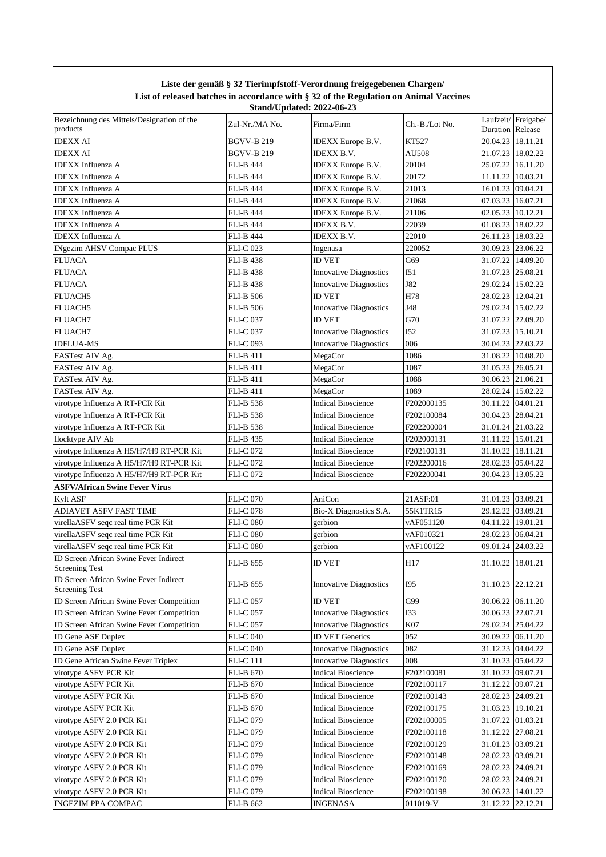|                                                                 |                  | Liste der gemäß § 32 Tierimpfstoff-Verordnung freigegebenen Chargen/<br>List of released batches in accordance with § 32 of the Regulation on Animal Vaccines<br><b>Stand/Updated: 2022-06-23</b> |                |                   |                    |
|-----------------------------------------------------------------|------------------|---------------------------------------------------------------------------------------------------------------------------------------------------------------------------------------------------|----------------|-------------------|--------------------|
| Bezeichnung des Mittels/Designation of the<br>products          | Zul-Nr./MA No.   | Firma/Firm                                                                                                                                                                                        | Ch.-B./Lot No. | Duration Release  | Laufzeit/Freigabe/ |
| <b>IDEXX AI</b>                                                 | BGVV-B 219       | IDEXX Europe B.V.                                                                                                                                                                                 | KT527          | 20.04.23 18.11.21 |                    |
| <b>IDEXX AI</b>                                                 | BGVV-B 219       | <b>IDEXX B.V.</b>                                                                                                                                                                                 | AU508          | 21.07.23 18.02.22 |                    |
| <b>IDEXX</b> Influenza A                                        | FLI-B 444        | <b>IDEXX</b> Europe B.V.                                                                                                                                                                          | 20104          | 25.07.22 16.11.20 |                    |
| <b>IDEXX</b> Influenza A                                        | FLI-B 444        | IDEXX Europe B.V.                                                                                                                                                                                 | 20172          | 11.11.22          | 10.03.21           |
| <b>IDEXX</b> Influenza A                                        | FLI-B 444        | <b>IDEXX</b> Europe B.V.                                                                                                                                                                          | 21013          | 16.01.23 09.04.21 |                    |
| <b>IDEXX</b> Influenza A                                        | FLI-B 444        | <b>IDEXX</b> Europe B.V.                                                                                                                                                                          | 21068          | 07.03.23          | 16.07.21           |
| <b>IDEXX</b> Influenza A                                        | FLI-B 444        | IDEXX Europe B.V.                                                                                                                                                                                 | 21106          | 02.05.23          | 10.12.21           |
| <b>IDEXX</b> Influenza A                                        | FLI-B 444        | IDEXX B.V.                                                                                                                                                                                        | 22039          | 01.08.23          | 18.02.22           |
| <b>IDEXX</b> Influenza A                                        | FLI-B 444        | IDEXX B.V.                                                                                                                                                                                        | 22010          | 26.11.23          | 18.03.22           |
| <b>INgezim AHSV Compac PLUS</b>                                 | FLI-C 023        | Ingenasa                                                                                                                                                                                          | 220052         | 30.09.23          | 23.06.22           |
| <b>FLUACA</b>                                                   | FLI-B 438        | <b>ID VET</b>                                                                                                                                                                                     | G69            | 31.07.22          | 14.09.20           |
| <b>FLUACA</b>                                                   | <b>FLI-B 438</b> | <b>Innovative Diagnostics</b>                                                                                                                                                                     | I51            | 31.07.23          | 25.08.21           |
| <b>FLUACA</b>                                                   | <b>FLI-B438</b>  | <b>Innovative Diagnostics</b>                                                                                                                                                                     | J82            | 29.02.24          | 15.02.22           |
| <b>FLUACH5</b>                                                  | <b>FLI-B 506</b> | <b>ID VET</b>                                                                                                                                                                                     | H78            | 28.02.23          | 12.04.21           |
| FLUACH5                                                         | <b>FLI-B 506</b> | <b>Innovative Diagnostics</b>                                                                                                                                                                     | J48            | 29.02.24          | 15.02.22           |
| <b>FLUACH7</b>                                                  | <b>FLI-C 037</b> | <b>ID VET</b>                                                                                                                                                                                     | G70            | 31.07.22          | 22.09.20           |
| FLUACH7                                                         | <b>FLI-C 037</b> | <b>Innovative Diagnostics</b>                                                                                                                                                                     | I52            | 31.07.23          | 15.10.21           |
| <b>IDFLUA-MS</b>                                                | <b>FLI-C093</b>  | <b>Innovative Diagnostics</b>                                                                                                                                                                     | 006            | 30.04.23 22.03.22 |                    |
| FASTest AIV Ag.                                                 | FLI-B 411        | MegaCor                                                                                                                                                                                           | 1086           | 31.08.22          | 10.08.20           |
| FASTest AIV Ag.                                                 | FLI-B 411        | MegaCor                                                                                                                                                                                           | 1087           | 31.05.23 26.05.21 |                    |
| FASTest AIV Ag.                                                 | FLI-B 411        | MegaCor                                                                                                                                                                                           | 1088           | 30.06.23 21.06.21 |                    |
| FASTest AIV Ag.                                                 | <b>FLI-B 411</b> | MegaCor                                                                                                                                                                                           | 1089           | 28.02.24          | 15.02.22           |
| virotype Influenza A RT-PCR Kit                                 | <b>FLI-B 538</b> | <b>Indical Bioscience</b>                                                                                                                                                                         | F202000135     | 30.11.22          | 04.01.21           |
| virotype Influenza A RT-PCR Kit                                 | FLI-B 538        | <b>Indical Bioscience</b>                                                                                                                                                                         | F202100084     | 30.04.23 28.04.21 |                    |
| virotype Influenza A RT-PCR Kit                                 | FLI-B 538        | <b>Indical Bioscience</b>                                                                                                                                                                         | F202200004     | 31.01.24 21.03.22 |                    |
| flocktype AIV Ab                                                | FLI-B 435        | <b>Indical Bioscience</b>                                                                                                                                                                         | F202000131     | 31.11.22          | 15.01.21           |
| virotype Influenza A H5/H7/H9 RT-PCR Kit                        | FLI-C 072        | <b>Indical Bioscience</b>                                                                                                                                                                         | F202100131     | 31.10.22          | 18.11.21           |
| virotype Influenza A H5/H7/H9 RT-PCR Kit                        | <b>FLI-C 072</b> | <b>Indical Bioscience</b>                                                                                                                                                                         | F202200016     | 28.02.23 05.04.22 |                    |
| virotype Influenza A H5/H7/H9 RT-PCR Kit                        | <b>FLI-C072</b>  | <b>Indical Bioscience</b>                                                                                                                                                                         | F202200041     | 30.04.23          | 13.05.22           |
| <b>ASFV/African Swine Fever Virus</b>                           |                  |                                                                                                                                                                                                   |                |                   |                    |
| <b>Kylt ASF</b>                                                 | <b>FLI-C 070</b> | AniCon                                                                                                                                                                                            | 21ASF:01       | 31.01.23 03.09.21 |                    |
| ADIAVET ASFV FAST TIME                                          | <b>FLI-C078</b>  | Bio-X Diagnostics S.A.                                                                                                                                                                            | 55K1TR15       | 29.12.22 03.09.21 |                    |
| virellaASFV seqc real time PCR Kit                              | <b>FLI-C 080</b> | gerbion                                                                                                                                                                                           | vAF051120      |                   | 04.11.22 19.01.21  |
| virellaASFV seqc real time PCR Kit                              | <b>FLI-C 080</b> | gerbion                                                                                                                                                                                           | vAF010321      | 28.02.23 06.04.21 |                    |
| virellaASFV seqc real time PCR Kit                              | <b>FLI-C 080</b> | gerbion                                                                                                                                                                                           | vAF100122      | 09.01.24          | 24.03.22           |
| ID Screen African Swine Fever Indirect<br>Screening Test        | <b>FLI-B 655</b> | <b>ID VET</b>                                                                                                                                                                                     | H17            | 31.10.22          | 18.01.21           |
| ID Screen African Swine Fever Indirect<br><b>Screening Test</b> | FLI-B 655        | <b>Innovative Diagnostics</b>                                                                                                                                                                     | <b>I95</b>     | 31.10.23 22.12.21 |                    |
| ID Screen African Swine Fever Competition                       | <b>FLI-C 057</b> | <b>ID VET</b>                                                                                                                                                                                     | G99            | 30.06.22          | 06.11.20           |
| ID Screen African Swine Fever Competition                       | <b>FLI-C 057</b> | <b>Innovative Diagnostics</b>                                                                                                                                                                     | <b>I33</b>     | 30.06.23 22.07.21 |                    |
| ID Screen African Swine Fever Competition                       | <b>FLI-C 057</b> | <b>Innovative Diagnostics</b>                                                                                                                                                                     | K07            | 29.02.24          | 25.04.22           |
| ID Gene ASF Duplex                                              | FLI-C 040        | <b>ID VET Genetics</b>                                                                                                                                                                            | 052            | 30.09.22 06.11.20 |                    |
| <b>ID Gene ASF Duplex</b>                                       | FLI-C 040        | <b>Innovative Diagnostics</b>                                                                                                                                                                     | 082            | 31.12.23 04.04.22 |                    |
| ID Gene African Swine Fever Triplex                             | FLI-C 111        | <b>Innovative Diagnostics</b>                                                                                                                                                                     | 008            | 31.10.23 05.04.22 |                    |
| virotype ASFV PCR Kit                                           | FLI-B 670        | <b>Indical Bioscience</b>                                                                                                                                                                         | F202100081     | 31.10.22 09.07.21 |                    |
| virotype ASFV PCR Kit                                           | FLI-B 670        | <b>Indical Bioscience</b>                                                                                                                                                                         | F202100117     | 31.12.22 09.07.21 |                    |
| virotype ASFV PCR Kit                                           | FLI-B 670        | <b>Indical Bioscience</b>                                                                                                                                                                         | F202100143     | 28.02.23 24.09.21 |                    |
| virotype ASFV PCR Kit                                           | FLI-B 670        | <b>Indical Bioscience</b>                                                                                                                                                                         | F202100175     | 31.03.23 19.10.21 |                    |
| virotype ASFV 2.0 PCR Kit                                       | FLI-C 079        | <b>Indical Bioscience</b>                                                                                                                                                                         | F202100005     | 31.07.22 01.03.21 |                    |
| virotype ASFV 2.0 PCR Kit                                       | <b>FLI-C 079</b> | <b>Indical Bioscience</b>                                                                                                                                                                         | F202100118     | 31.12.22          | 27.08.21           |
| virotype ASFV 2.0 PCR Kit                                       | <b>FLI-C 079</b> | <b>Indical Bioscience</b>                                                                                                                                                                         | F202100129     | 31.01.23 03.09.21 |                    |
| virotype ASFV 2.0 PCR Kit                                       | <b>FLI-C 079</b> | <b>Indical Bioscience</b>                                                                                                                                                                         | F202100148     | 28.02.23 03.09.21 |                    |
| virotype ASFV 2.0 PCR Kit                                       | FLI-C 079        | <b>Indical Bioscience</b>                                                                                                                                                                         | F202100169     | 28.02.23 24.09.21 |                    |
| virotype ASFV 2.0 PCR Kit                                       | FLI-C 079        | <b>Indical Bioscience</b>                                                                                                                                                                         | F202100170     | 28.02.23 24.09.21 |                    |
| virotype ASFV 2.0 PCR Kit                                       | FLI-C 079        | <b>Indical Bioscience</b>                                                                                                                                                                         | F202100198     | 30.06.23 14.01.22 |                    |
| <b>INGEZIM PPA COMPAC</b>                                       | <b>FLI-B 662</b> | <b>INGENASA</b>                                                                                                                                                                                   | 011019-V       | 31.12.22          | 22.12.21           |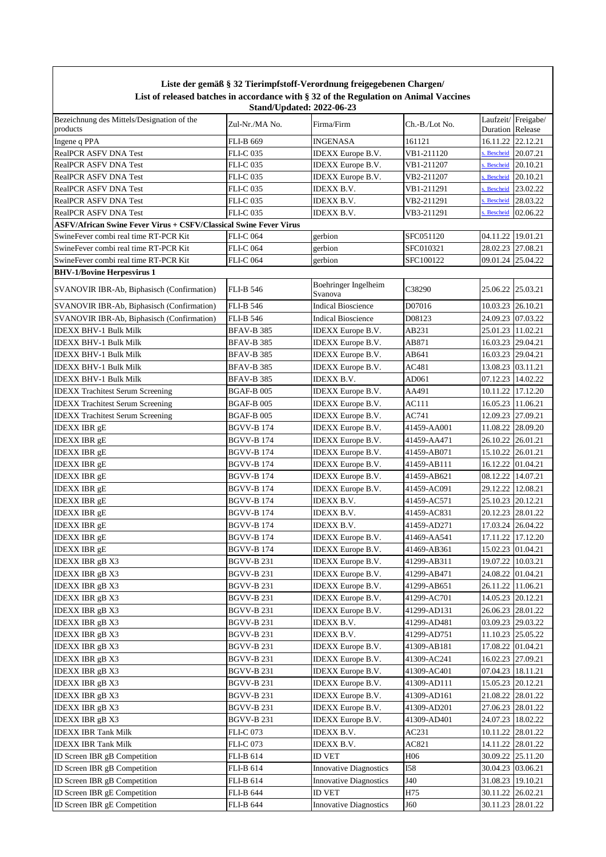| Liste der gemäß § 32 Tierimpfstoff-Verordnung freigegebenen Chargen/<br>List of released batches in accordance with § 32 of the Regulation on Animal Vaccines<br><b>Stand/Updated: 2022-06-23</b> |                   |                                 |                |                                           |  |  |
|---------------------------------------------------------------------------------------------------------------------------------------------------------------------------------------------------|-------------------|---------------------------------|----------------|-------------------------------------------|--|--|
| Bezeichnung des Mittels/Designation of the<br>products                                                                                                                                            | Zul-Nr./MA No.    | Firma/Firm                      | Ch.-B./Lot No. | Laufzeit/Freigabe/<br>Release<br>Duration |  |  |
| Ingene q PPA                                                                                                                                                                                      | FLI-B 669         | <b>INGENASA</b>                 | 161121         | 22.12.21<br>16.11.22                      |  |  |
| <b>RealPCR ASFV DNA Test</b>                                                                                                                                                                      | <b>FLI-C 035</b>  | <b>IDEXX</b> Europe B.V.        | VB1-211120     | . Bescheid<br>20.07.21                    |  |  |
| <b>RealPCR ASFV DNA Test</b>                                                                                                                                                                      | <b>FLI-C 035</b>  | <b>IDEXX</b> Europe B.V.        | VB1-211207     | <b>Bescheid</b><br>20.10.21               |  |  |
| <b>RealPCR ASFV DNA Test</b>                                                                                                                                                                      | <b>FLI-C 035</b>  | <b>IDEXX</b> Europe B.V.        | VB2-211207     | Bescheid<br>20.10.21                      |  |  |
| <b>RealPCR ASFV DNA Test</b>                                                                                                                                                                      | <b>FLI-C 035</b>  | <b>IDEXX B.V.</b>               | VB1-211291     | Bescheid<br>23.02.22                      |  |  |
| <b>RealPCR ASFV DNA Test</b>                                                                                                                                                                      | <b>FLI-C 035</b>  | IDEXX B.V.                      | VB2-211291     | <b>Bescheid</b><br>28.03.22               |  |  |
| <b>RealPCR ASFV DNA Test</b>                                                                                                                                                                      | <b>FLI-C 035</b>  | IDEXX B.V.                      | VB3-211291     | Bescheid<br>02.06.22                      |  |  |
| <b>ASFV/African Swine Fever Virus + CSFV/Classical Swine Fever Virus</b>                                                                                                                          |                   |                                 |                |                                           |  |  |
| SwineFever combi real time RT-PCR Kit                                                                                                                                                             | <b>FLI-C 064</b>  | gerbion                         | SFC051120      | 19.01.21<br>04.11.22                      |  |  |
| SwineFever combi real time RT-PCR Kit                                                                                                                                                             | <b>FLI-C 064</b>  | gerbion                         | SFC010321      | 28.02.23 27.08.21                         |  |  |
| SwineFever combi real time RT-PCR Kit                                                                                                                                                             | <b>FLI-C 064</b>  | gerbion                         | SFC100122      | 09.01.24 25.04.22                         |  |  |
| <b>BHV-1/Bovine Herpesvirus 1</b>                                                                                                                                                                 |                   |                                 |                |                                           |  |  |
| <b>SVANOVIR IBR-Ab, Biphasisch (Confirmation)</b>                                                                                                                                                 | <b>FLI-B 546</b>  | Boehringer Ingelheim<br>Svanova | C38290         | 25.06.22 25.03.21                         |  |  |
| SVANOVIR IBR-Ab, Biphasisch (Confirmation)                                                                                                                                                        | <b>FLI-B 546</b>  | <b>Indical Bioscience</b>       | D07016         | 10.03.23 26.10.21                         |  |  |
| <b>SVANOVIR IBR-Ab, Biphasisch (Confirmation)</b>                                                                                                                                                 | <b>FLI-B 546</b>  | <b>Indical Bioscience</b>       | D08123         | 24.09.23 07.03.22                         |  |  |
| <b>IDEXX BHV-1 Bulk Milk</b>                                                                                                                                                                      | <b>BFAV-B 385</b> | <b>IDEXX</b> Europe B.V.        | AB231          | 25.01.23 11.02.21                         |  |  |
| <b>IDEXX BHV-1 Bulk Milk</b>                                                                                                                                                                      | <b>BFAV-B 385</b> | <b>IDEXX</b> Europe B.V.        | AB871          | 16.03.23 29.04.21                         |  |  |
| <b>IDEXX BHV-1 Bulk Milk</b>                                                                                                                                                                      | <b>BFAV-B 385</b> | <b>IDEXX</b> Europe B.V.        | AB641          | 16.03.23 29.04.21                         |  |  |
| <b>IDEXX BHV-1 Bulk Milk</b>                                                                                                                                                                      | <b>BFAV-B 385</b> | <b>IDEXX</b> Europe B.V.        | AC481          | 13.08.23 03.11.21                         |  |  |
| <b>IDEXX BHV-1 Bulk Milk</b>                                                                                                                                                                      | <b>BFAV-B 385</b> | <b>IDEXX B.V.</b>               | AD061          | 07.12.23 14.02.22                         |  |  |
| <b>IDEXX</b> Trachitest Serum Screening                                                                                                                                                           | <b>BGAF-B005</b>  | <b>IDEXX</b> Europe B.V.        | AA491          | 10.11.22 17.12.20                         |  |  |
| <b>IDEXX Trachitest Serum Screening</b>                                                                                                                                                           | <b>BGAF-B005</b>  | <b>IDEXX</b> Europe B.V.        | AC111          | 16.05.23 11.06.21                         |  |  |
| <b>IDEXX Trachitest Serum Screening</b>                                                                                                                                                           | <b>BGAF-B005</b>  | <b>IDEXX</b> Europe B.V.        | AC741          | 12.09.23 27.09.21                         |  |  |
| <b>IDEXX IBR gE</b>                                                                                                                                                                               | <b>BGVV-B 174</b> | <b>IDEXX</b> Europe B.V.        | 41459-AA001    | 11.08.22 28.09.20                         |  |  |
| <b>IDEXX IBR gE</b>                                                                                                                                                                               | <b>BGVV-B174</b>  | <b>IDEXX</b> Europe B.V.        | 41459-AA471    | 26.10.22 26.01.21                         |  |  |
| <b>IDEXX IBR gE</b>                                                                                                                                                                               | <b>BGVV-B 174</b> | <b>IDEXX</b> Europe B.V.        | 41459-AB071    | 15.10.22 26.01.21                         |  |  |
| <b>IDEXX IBR gE</b>                                                                                                                                                                               | <b>BGVV-B 174</b> | <b>IDEXX</b> Europe B.V.        | 41459-AB111    | 16.12.22 01.04.21                         |  |  |
| <b>IDEXX IBR gE</b>                                                                                                                                                                               | <b>BGVV-B 174</b> | <b>IDEXX</b> Europe B.V.        | 41459-AB621    | 08.12.22 14.07.21                         |  |  |
| <b>IDEXX IBR gE</b>                                                                                                                                                                               | <b>BGVV-B 174</b> | <b>IDEXX</b> Europe B.V.        | 41459-AC091    | 29.12.22 12.08.21                         |  |  |
| <b>IDEXX IBR gE</b>                                                                                                                                                                               | <b>BGVV-B 174</b> | IDEXX B.V.                      | 41459-AC571    | 25.10.23 20.12.21                         |  |  |
| <b>IDEXX IBR gE</b>                                                                                                                                                                               | <b>BGVV-B 174</b> | IDEXX B.V.                      | 41459-AC831    | 20.12.23 28.01.22                         |  |  |
| <b>IDEXX IBR gE</b>                                                                                                                                                                               | <b>BGVV-B 174</b> | IDEXX B.V.                      | 41459-AD271    | 17.03.24 26.04.22                         |  |  |
| <b>IDEXX IBR gE</b>                                                                                                                                                                               | BGVV-B 174        | <b>IDEXX</b> Europe B.V.        | 41469-AA541    | 17.11.22 17.12.20                         |  |  |
| <b>IDEXX IBR gE</b>                                                                                                                                                                               | BGVV-B 174        | <b>IDEXX</b> Europe B.V.        | 41469-AB361    | 15.02.23 01.04.21                         |  |  |
| <b>IDEXX IBR gB X3</b>                                                                                                                                                                            | <b>BGVV-B 231</b> | <b>IDEXX</b> Europe B.V.        | 41299-AB311    | 19.07.22<br>10.03.21                      |  |  |
| <b>IDEXX IBR gB X3</b>                                                                                                                                                                            | BGVV-B 231        | <b>IDEXX</b> Europe B.V.        | 41299-AB471    | 24.08.22<br>01.04.21                      |  |  |
| <b>IDEXX IBR gB X3</b>                                                                                                                                                                            | BGVV-B 231        | <b>IDEXX</b> Europe B.V.        | 41299-AB651    | 26.11.22 11.06.21                         |  |  |
| <b>IDEXX IBR gB X3</b>                                                                                                                                                                            | BGVV-B 231        | <b>IDEXX</b> Europe B.V.        | 41299-AC701    | 14.05.23 20.12.21                         |  |  |
| <b>IDEXX IBR gB X3</b>                                                                                                                                                                            | <b>BGVV-B 231</b> | <b>IDEXX</b> Europe B.V.        | 41299-AD131    | 26.06.23 28.01.22                         |  |  |
| <b>IDEXX IBR gB X3</b>                                                                                                                                                                            | <b>BGVV-B 231</b> | IDEXX B.V.                      | 41299-AD481    | 03.09.23 29.03.22                         |  |  |
| <b>IDEXX IBR gB X3</b>                                                                                                                                                                            | <b>BGVV-B 231</b> | IDEXX B.V.                      | 41299-AD751    | 11.10.23 25.05.22                         |  |  |
| <b>IDEXX IBR gB X3</b>                                                                                                                                                                            | <b>BGVV-B 231</b> | <b>IDEXX</b> Europe B.V.        | 41309-AB181    | 17.08.22<br>01.04.21                      |  |  |
| <b>IDEXX IBR gB X3</b>                                                                                                                                                                            | BGVV-B 231        | <b>IDEXX</b> Europe B.V.        | 41309-AC241    | 16.02.23 27.09.21                         |  |  |
| <b>IDEXX IBR gB X3</b>                                                                                                                                                                            | BGVV-B 231        | <b>IDEXX</b> Europe B.V.        | 41309-AC401    | 07.04.23 18.11.21                         |  |  |
| <b>IDEXX IBR gB X3</b>                                                                                                                                                                            | BGVV-B 231        | <b>IDEXX</b> Europe B.V.        | 41309-AD111    | 15.05.23 20.12.21                         |  |  |
| <b>IDEXX IBR gB X3</b>                                                                                                                                                                            | BGVV-B 231        | <b>IDEXX</b> Europe B.V.        | 41309-AD161    | 21.08.22 28.01.22                         |  |  |
| <b>IDEXX IBR gB X3</b>                                                                                                                                                                            | BGVV-B 231        | <b>IDEXX</b> Europe B.V.        | 41309-AD201    | 27.06.23 28.01.22                         |  |  |
| <b>IDEXX IBR gB X3</b>                                                                                                                                                                            | BGVV-B 231        | <b>IDEXX</b> Europe B.V.        | 41309-AD401    | 24.07.23 18.02.22                         |  |  |
| <b>IDEXX IBR Tank Milk</b>                                                                                                                                                                        | FLI-C 073         | IDEXX B.V.                      | AC231          | 28.01.22<br>10.11.22                      |  |  |
| <b>IDEXX IBR Tank Milk</b>                                                                                                                                                                        | FLI-C 073         | IDEXX B.V.                      | AC821          | 14.11.22 28.01.22                         |  |  |
| ID Screen IBR gB Competition                                                                                                                                                                      | FLI-B 614         | ID VET                          | H06            | 25.11.20<br>30.09.22                      |  |  |
| ID Screen IBR gB Competition                                                                                                                                                                      | FLI-B 614         | <b>Innovative Diagnostics</b>   | I58            | 03.06.21<br>30.04.23                      |  |  |
| ID Screen IBR gB Competition                                                                                                                                                                      | FLI-B 614         | <b>Innovative Diagnostics</b>   | J40            | 19.10.21<br>31.08.23                      |  |  |
| ID Screen IBR gE Competition                                                                                                                                                                      | FLI-B 644         | ID VET                          | H75            | 30.11.22<br>26.02.21                      |  |  |
| ID Screen IBR gE Competition                                                                                                                                                                      | FLI-B 644         | <b>Innovative Diagnostics</b>   | J60            | 30.11.23 28.01.22                         |  |  |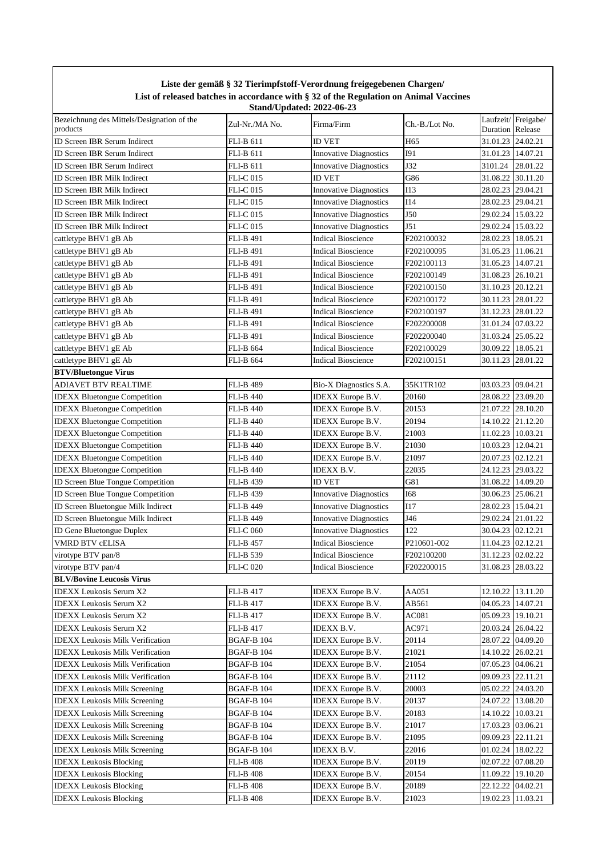|                                                        |                   | Liste der gemäß § 32 Tierimpfstoff-Verordnung freigegebenen Chargen/                                                      |                 |                         |                    |
|--------------------------------------------------------|-------------------|---------------------------------------------------------------------------------------------------------------------------|-----------------|-------------------------|--------------------|
|                                                        |                   | List of released batches in accordance with § 32 of the Regulation on Animal Vaccines<br><b>Stand/Updated: 2022-06-23</b> |                 |                         |                    |
| Bezeichnung des Mittels/Designation of the<br>products | Zul-Nr./MA No.    | Firma/Firm                                                                                                                | Ch.-B./Lot No.  | <b>Duration Release</b> | Laufzeit/Freigabe/ |
| ID Screen IBR Serum Indirect                           | <b>FLI-B 611</b>  | <b>ID VET</b>                                                                                                             | H <sub>65</sub> | 31.01.23 24.02.21       |                    |
| ID Screen IBR Serum Indirect                           | <b>FLI-B 611</b>  | <b>Innovative Diagnostics</b>                                                                                             | <b>I91</b>      | 31.01.23 14.07.21       |                    |
| <b>ID Screen IBR Serum Indirect</b>                    | FLI-B 611         | <b>Innovative Diagnostics</b>                                                                                             | J32             | 3101.24                 | 28.01.22           |
| ID Screen IBR Milk Indirect                            | FLI-C 015         | ID VET                                                                                                                    | G86             | 31.08.22                | 30.11.20           |
| ID Screen IBR Milk Indirect                            | <b>FLI-C 015</b>  | <b>Innovative Diagnostics</b>                                                                                             | <b>I13</b>      | 28.02.23 29.04.21       |                    |
| ID Screen IBR Milk Indirect                            | <b>FLI-C015</b>   | <b>Innovative Diagnostics</b>                                                                                             | I14             | 28.02.23 29.04.21       |                    |
| ID Screen IBR Milk Indirect                            | <b>FLI-C 015</b>  | <b>Innovative Diagnostics</b>                                                                                             | J50             | 29.02.24 15.03.22       |                    |
| ID Screen IBR Milk Indirect                            | <b>FLI-C 015</b>  | <b>Innovative Diagnostics</b>                                                                                             | J51             | 29.02.24 15.03.22       |                    |
| cattletype BHV1 gB Ab                                  | <b>FLI-B 491</b>  | <b>Indical Bioscience</b>                                                                                                 | F202100032      | 28.02.23                | 18.05.21           |
| cattletype BHV1 gB Ab                                  | <b>FLI-B 491</b>  | <b>Indical Bioscience</b>                                                                                                 | F202100095      | 31.05.23                | 11.06.21           |
| cattletype BHV1 gB Ab                                  | <b>FLI-B 491</b>  | <b>Indical Bioscience</b>                                                                                                 | F202100113      | 31.05.23 14.07.21       |                    |
| cattletype BHV1 gB Ab                                  | <b>FLI-B 491</b>  | <b>Indical Bioscience</b>                                                                                                 | F202100149      | 31.08.23 26.10.21       |                    |
| cattletype BHV1 gB Ab                                  | <b>FLI-B 491</b>  | <b>Indical Bioscience</b>                                                                                                 | F202100150      | 31.10.23                | 20.12.21           |
| cattletype BHV1 gB Ab                                  | <b>FLI-B 491</b>  | <b>Indical Bioscience</b>                                                                                                 | F202100172      | 30.11.23                | 28.01.22           |
| cattletype BHV1 gB Ab                                  | <b>FLI-B 491</b>  | <b>Indical Bioscience</b>                                                                                                 | F202100197      |                         | 31.12.23 28.01.22  |
| cattletype BHV1 gB Ab                                  | <b>FLI-B 491</b>  | <b>Indical Bioscience</b>                                                                                                 | F202200008      | 31.01.24                | 07.03.22           |
| cattletype BHV1 gB Ab                                  | <b>FLI-B 491</b>  | <b>Indical Bioscience</b>                                                                                                 | F202200040      | 31.03.24                | 25.05.22           |
| cattletype BHV1 gE Ab                                  | <b>FLI-B 664</b>  | <b>Indical Bioscience</b>                                                                                                 | F202100029      | 30.09.22 18.05.21       |                    |
| cattletype BHV1 gE Ab                                  | <b>FLI-B 664</b>  | <b>Indical Bioscience</b>                                                                                                 | F202100151      | 30.11.23                | 28.01.22           |
| <b>BTV/Bluetongue Virus</b>                            |                   |                                                                                                                           |                 |                         |                    |
| <b>ADIAVET BTV REALTIME</b>                            | <b>FLI-B 489</b>  | Bio-X Diagnostics S.A.                                                                                                    | 35K1TR102       | 03.03.23                | 09.04.21           |
| <b>IDEXX Bluetongue Competition</b>                    | <b>FLI-B 440</b>  | <b>IDEXX</b> Europe B.V.                                                                                                  | 20160           | 28.08.22 23.09.20       |                    |
| <b>IDEXX</b> Bluetongue Competition                    | <b>FLI-B 440</b>  | <b>IDEXX</b> Europe B.V.                                                                                                  | 20153           | 21.07.22 28.10.20       |                    |
| <b>IDEXX</b> Bluetongue Competition                    | <b>FLI-B 440</b>  | <b>IDEXX</b> Europe B.V.                                                                                                  | 20194           |                         | 14.10.22 21.12.20  |
| <b>IDEXX Bluetongue Competition</b>                    | <b>FLI-B 440</b>  | <b>IDEXX</b> Europe B.V.                                                                                                  | 21003           | 11.02.23 10.03.21       |                    |
| <b>IDEXX Bluetongue Competition</b>                    | <b>FLI-B 440</b>  | <b>IDEXX</b> Europe B.V.                                                                                                  | 21030           | 10.03.23 12.04.21       |                    |
| <b>IDEXX Bluetongue Competition</b>                    | <b>FLI-B 440</b>  | <b>IDEXX Europe B.V.</b>                                                                                                  | 21097           | 20.07.23 02.12.21       |                    |
| <b>IDEXX Bluetongue Competition</b>                    | <b>FLI-B 440</b>  | IDEXX B.V.                                                                                                                | 22035           | 24.12.23 29.03.22       |                    |
| ID Screen Blue Tongue Competition                      | FLI-B 439         | ID VET                                                                                                                    | G81             | 31.08.22 14.09.20       |                    |
| ID Screen Blue Tongue Competition                      | <b>FLI-B 439</b>  | <b>Innovative Diagnostics</b>                                                                                             | <b>I68</b>      | 30.06.23 25.06.21       |                    |
| ID Screen Bluetongue Milk Indirect                     | <b>FLI-B 449</b>  | <b>Innovative Diagnostics</b>                                                                                             | I17             | 28.02.23   15.04.21     |                    |
| ID Screen Bluetongue Milk Indirect                     | <b>FLI-B 449</b>  | <b>Innovative Diagnostics</b>                                                                                             | J46             | 29.02.24 21.01.22       |                    |
| <b>ID Gene Bluetongue Duplex</b>                       | <b>FLI-C 060</b>  | <b>Innovative Diagnostics</b>                                                                                             | 122             | 30.04.23 02.12.21       |                    |
| <b>VMRD BTV cELISA</b>                                 | <b>FLI-B 457</b>  | <b>Indical Bioscience</b>                                                                                                 | P210601-002     | 11.04.23 02.12.21       |                    |
| virotype BTV pan/8                                     | FLI-B 539         | <b>Indical Bioscience</b>                                                                                                 | F202100200      | 31.12.23                | 02.02.22           |
| virotype BTV pan/4                                     | <b>FLI-C 020</b>  | <b>Indical Bioscience</b>                                                                                                 | F202200015      |                         | 31.08.23 28.03.22  |
| <b>BLV/Bovine Leucosis Virus</b>                       |                   |                                                                                                                           |                 |                         |                    |
| IDEXX Leukosis Serum X2                                | <b>FLI-B 417</b>  | IDEXX Europe B.V.                                                                                                         | AA051           |                         | 12.10.22 13.11.20  |
| <b>IDEXX</b> Leukosis Serum X2                         | <b>FLI-B 417</b>  | <b>IDEXX</b> Europe B.V.                                                                                                  | AB561           | 04.05.23 14.07.21       |                    |
| <b>IDEXX</b> Leukosis Serum X2                         | FLI-B 417         | <b>IDEXX</b> Europe B.V.                                                                                                  | AC081           | 05.09.23 19.10.21       |                    |
| <b>IDEXX</b> Leukosis Serum X2                         | FLI-B 417         | IDEXX B.V.                                                                                                                | AC971           | 20.03.24 26.04.22       |                    |
| <b>IDEXX</b> Leukosis Milk Verification                | <b>BGAF-B 104</b> | <b>IDEXX</b> Europe B.V.                                                                                                  | 20114           |                         | 28.07.22 04.09.20  |
| <b>IDEXX</b> Leukosis Milk Verification                | <b>BGAF-B 104</b> | <b>IDEXX</b> Europe B.V.                                                                                                  | 21021           |                         | 14.10.22 26.02.21  |
| <b>IDEXX</b> Leukosis Milk Verification                | <b>BGAF-B 104</b> | <b>IDEXX</b> Europe B.V.                                                                                                  | 21054           | 07.05.23 04.06.21       |                    |
| <b>IDEXX Leukosis Milk Verification</b>                | <b>BGAF-B 104</b> | <b>IDEXX</b> Europe B.V.                                                                                                  | 21112           | 09.09.23 22.11.21       |                    |
| <b>IDEXX Leukosis Milk Screening</b>                   | <b>BGAF-B 104</b> | <b>IDEXX</b> Europe B.V.                                                                                                  | 20003           |                         | 05.02.22 24.03.20  |
| <b>IDEXX Leukosis Milk Screening</b>                   | <b>BGAF-B 104</b> | <b>IDEXX</b> Europe B.V.                                                                                                  | 20137           |                         | 24.07.22 13.08.20  |
| <b>IDEXX</b> Leukosis Milk Screening                   | <b>BGAF-B 104</b> | <b>IDEXX</b> Europe B.V.                                                                                                  | 20183           |                         | 14.10.22 10.03.21  |
| <b>IDEXX</b> Leukosis Milk Screening                   | <b>BGAF-B 104</b> | <b>IDEXX</b> Europe B.V.                                                                                                  | 21017           |                         | 17.03.23 03.06.21  |
| <b>IDEXX Leukosis Milk Screening</b>                   | <b>BGAF-B 104</b> | <b>IDEXX</b> Europe B.V.                                                                                                  | 21095           | 09.09.23 22.11.21       |                    |
| <b>IDEXX Leukosis Milk Screening</b>                   | <b>BGAF-B 104</b> | IDEXX B.V.                                                                                                                | 22016           | 01.02.24 18.02.22       |                    |
| <b>IDEXX</b> Leukosis Blocking                         | <b>FLI-B 408</b>  | <b>IDEXX</b> Europe B.V.                                                                                                  | 20119           | 02.07.22                | 07.08.20           |
| <b>IDEXX</b> Leukosis Blocking                         | <b>FLI-B 408</b>  | IDEXX Europe B.V.                                                                                                         | 20154           |                         | 11.09.22 19.10.20  |
| <b>IDEXX Leukosis Blocking</b>                         | <b>FLI-B 408</b>  | <b>IDEXX</b> Europe B.V.                                                                                                  | 20189           | 22.12.22                | 04.02.21           |
| <b>IDEXX Leukosis Blocking</b>                         | <b>FLI-B 408</b>  | <b>IDEXX</b> Europe B.V.                                                                                                  | 21023           |                         | 19.02.23 11.03.21  |

 $\overline{\phantom{a}}$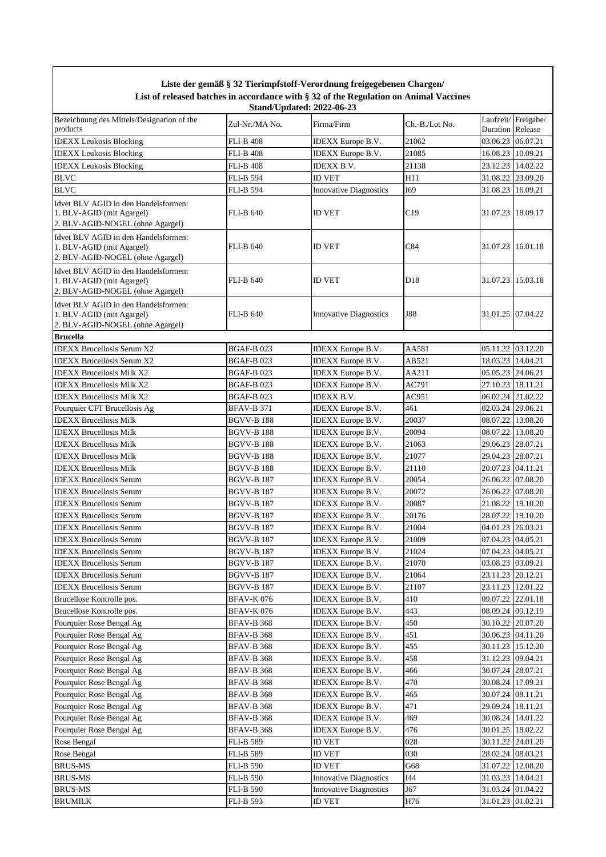|                                                                                                       |                                      | Liste der gemäß § 32 Tierimpfstoff-Verordnung freigegebenen Chargen/                                                      |                 |                                        |                    |
|-------------------------------------------------------------------------------------------------------|--------------------------------------|---------------------------------------------------------------------------------------------------------------------------|-----------------|----------------------------------------|--------------------|
|                                                                                                       |                                      | List of released batches in accordance with § 32 of the Regulation on Animal Vaccines<br><b>Stand/Updated: 2022-06-23</b> |                 |                                        |                    |
| Bezeichnung des Mittels/Designation of the<br>products                                                | Zul-Nr./MA No.                       | Firma/Firm                                                                                                                | Ch.-B./Lot No.  | Duration Release                       | Laufzeit/Freigabe/ |
| <b>IDEXX Leukosis Blocking</b>                                                                        | <b>FLI-B 408</b>                     | IDEXX Europe B.V.                                                                                                         | 21062           | 03.06.23 06.07.21                      |                    |
| <b>IDEXX Leukosis Blocking</b>                                                                        | <b>FLI-B 408</b>                     | <b>IDEXX</b> Europe B.V.                                                                                                  | 21085           | 16.08.23 10.09.21                      |                    |
| <b>IDEXX Leukosis Blocking</b>                                                                        | <b>FLI-B 408</b>                     | IDEXX B.V.                                                                                                                | 21138           | 23.12.23 14.02.22                      |                    |
| <b>BLVC</b>                                                                                           | <b>FLI-B 594</b>                     | <b>ID VET</b>                                                                                                             | H11             | 31.08.22                               | 23.09.20           |
| <b>BLVC</b>                                                                                           | <b>FLI-B 594</b>                     | <b>Innovative Diagnostics</b>                                                                                             | I69             | 31.08.23 16.09.21                      |                    |
| Idvet BLV AGID in den Handelsformen:<br>1. BLV-AGID (mit Agargel)<br>2. BLV-AGID-NOGEL (ohne Agargel) | <b>FLI-B 640</b>                     | <b>ID VET</b>                                                                                                             | C19             | 31.07.23 18.09.17                      |                    |
| Idvet BLV AGID in den Handelsformen:<br>1. BLV-AGID (mit Agargel)<br>2. BLV-AGID-NOGEL (ohne Agargel) | <b>FLI-B 640</b>                     | <b>ID VET</b>                                                                                                             | C84             | 31.07.23 16.01.18                      |                    |
| Idvet BLV AGID in den Handelsformen:<br>1. BLV-AGID (mit Agargel)<br>2. BLV-AGID-NOGEL (ohne Agargel) | <b>FLI-B 640</b>                     | <b>ID VET</b>                                                                                                             | D <sub>18</sub> | 31.07.23 15.03.18                      |                    |
| Idvet BLV AGID in den Handelsformen:<br>1. BLV-AGID (mit Agargel)<br>2. BLV-AGID-NOGEL (ohne Agargel) | <b>FLI-B 640</b>                     | <b>Innovative Diagnostics</b>                                                                                             | <b>J88</b>      | 31.01.25 07.04.22                      |                    |
| <b>Brucella</b>                                                                                       |                                      |                                                                                                                           |                 |                                        |                    |
| <b>IDEXX Brucellosis Serum X2</b>                                                                     | <b>BGAF-B023</b>                     | IDEXX Europe B.V.                                                                                                         | AA581           | 05.11.22 03.12.20                      |                    |
| <b>IDEXX Brucellosis Serum X2</b>                                                                     | <b>BGAF-B023</b>                     | <b>IDEXX</b> Europe B.V.                                                                                                  | AB521           | 18.03.23 14.04.21                      |                    |
| <b>IDEXX Brucellosis Milk X2</b>                                                                      | <b>BGAF-B023</b>                     | <b>IDEXX</b> Europe B.V.                                                                                                  | AA211           | 05.05.23 24.06.21                      |                    |
| <b>IDEXX Brucellosis Milk X2</b>                                                                      | <b>BGAF-B023</b>                     | <b>IDEXX</b> Europe B.V.                                                                                                  | AC791           | 27.10.23 18.11.21                      |                    |
| <b>IDEXX Brucellosis Milk X2</b>                                                                      | <b>BGAF-B023</b>                     | <b>IDEXX B.V.</b>                                                                                                         | AC951           | 06.02.24 21.02.22                      |                    |
| Pourquier CFT Brucellosis Ag                                                                          | <b>BFAV-B 371</b>                    | <b>IDEXX</b> Europe B.V.                                                                                                  | 461             | 02.03.24 29.06.21                      |                    |
| <b>IDEXX Brucellosis Milk</b>                                                                         | <b>BGVV-B188</b>                     | IDEXX Europe B.V.                                                                                                         | 20037           | 08.07.22 13.08.20                      |                    |
| <b>IDEXX Brucellosis Milk</b>                                                                         | <b>BGVV-B188</b>                     | <b>IDEXX</b> Europe B.V.                                                                                                  | 20094           | 08.07.22 13.08.20                      |                    |
| <b>IDEXX Brucellosis Milk</b>                                                                         | <b>BGVV-B188</b>                     | <b>IDEXX</b> Europe B.V.                                                                                                  | 21063           | 29.06.23 28.07.21                      |                    |
| <b>IDEXX Brucellosis Milk</b><br><b>IDEXX Brucellosis Milk</b>                                        | <b>BGVV-B188</b><br><b>BGVV-B188</b> | <b>IDEXX</b> Europe B.V.                                                                                                  | 21077<br>21110  | 29.04.23 28.07.21<br>20.07.23 04.11.21 |                    |
| <b>IDEXX Brucellosis Serum</b>                                                                        | <b>BGVV-B187</b>                     | IDEXX Europe B.V.<br><b>IDEXX</b> Europe B.V.                                                                             | 20054           | 26.06.22 07.08.20                      |                    |
| <b>IDEXX Brucellosis Serum</b>                                                                        | <b>BGVV-B 187</b>                    | <b>IDEXX</b> Europe B.V.                                                                                                  | 20072           | 26.06.22 07.08.20                      |                    |
| <b>IDEXX Brucellosis Serum</b>                                                                        | <b>BGVV-B 187</b>                    | IDEXX Europe B.V.                                                                                                         | 20087           | 21.08.22 19.10.20                      |                    |
| <b>IDEXX Brucellosis Serum</b>                                                                        | BGVV-B 187                           | IDEXX Europe B.V.                                                                                                         | 20176           | 28.07.22 19.10.20                      |                    |
| <b>IDEXX</b> Brucellosis Serum                                                                        | <b>BGVV-B 187</b>                    | IDEXX Europe B.V.                                                                                                         | 21004           | 04.01.23 26.03.21                      |                    |
| <b>IDEXX Brucellosis Serum</b>                                                                        | <b>BGVV-B 187</b>                    | IDEXX Europe B.V.                                                                                                         | 21009           | 07.04.23 04.05.21                      |                    |
| <b>IDEXX Brucellosis Serum</b>                                                                        | <b>BGVV-B 187</b>                    | <b>IDEXX</b> Europe B.V.                                                                                                  | 21024           | 07.04.23 04.05.21                      |                    |
| <b>IDEXX Brucellosis Serum</b>                                                                        | <b>BGVV-B187</b>                     | <b>IDEXX</b> Europe B.V.                                                                                                  | 21070           | 03.08.23 03.09.21                      |                    |
| <b>IDEXX Brucellosis Serum</b>                                                                        | <b>BGVV-B 187</b>                    | <b>IDEXX</b> Europe B.V.                                                                                                  | 21064           | 23.11.23 20.12.21                      |                    |
| <b>IDEXX Brucellosis Serum</b>                                                                        | <b>BGVV-B 187</b>                    | <b>IDEXX</b> Europe B.V.                                                                                                  | 21107           | 23.11.23                               | 12.01.22           |
| Brucellose Kontrolle pos.                                                                             | <b>BFAV-K076</b>                     | <b>IDEXX</b> Europe B.V.                                                                                                  | 410             | 09.07.22                               | 22.01.18           |
| Brucellose Kontrolle pos.                                                                             | <b>BFAV-K076</b>                     | <b>IDEXX</b> Europe B.V.                                                                                                  | 443             | 08.09.24 09.12.19                      |                    |
| Pourquier Rose Bengal Ag                                                                              | <b>BFAV-B 368</b>                    | <b>IDEXX</b> Europe B.V.                                                                                                  | 450             | 30.10.22 20.07.20                      |                    |
| Pourquier Rose Bengal Ag                                                                              | <b>BFAV-B 368</b>                    | IDEXX Europe B.V.                                                                                                         | 451             |                                        | 30.06.23 04.11.20  |
| Pourquier Rose Bengal Ag                                                                              | <b>BFAV-B 368</b>                    | <b>IDEXX</b> Europe B.V.                                                                                                  | 455             | 30.11.23 15.12.20                      |                    |
| Pourquier Rose Bengal Ag                                                                              | <b>BFAV-B 368</b>                    | <b>IDEXX</b> Europe B.V.                                                                                                  | 458             | 31.12.23 09.04.21                      |                    |
| Pourquier Rose Bengal Ag                                                                              | <b>BFAV-B 368</b>                    | <b>IDEXX</b> Europe B.V.                                                                                                  | 466             | 30.07.24 28.07.21                      |                    |
| Pourquier Rose Bengal Ag                                                                              | <b>BFAV-B 368</b>                    | <b>IDEXX</b> Europe B.V.                                                                                                  | 470             | 30.08.24 17.09.21                      |                    |
| Pourquier Rose Bengal Ag                                                                              | <b>BFAV-B 368</b>                    | <b>IDEXX</b> Europe B.V.                                                                                                  | 465             | 30.07.24 08.11.21                      |                    |
| Pourquier Rose Bengal Ag                                                                              | <b>BFAV-B 368</b>                    | <b>IDEXX</b> Europe B.V.                                                                                                  | 471             | 29.09.24                               | 18.11.21           |
| Pourquier Rose Bengal Ag                                                                              | <b>BFAV-B 368</b>                    | <b>IDEXX</b> Europe B.V.                                                                                                  | 469             |                                        | 30.08.24 14.01.22  |
| Pourquier Rose Bengal Ag                                                                              | <b>BFAV-B 368</b>                    | <b>IDEXX</b> Europe B.V.                                                                                                  | 476             |                                        | 30.01.25 18.02.22  |
| Rose Bengal                                                                                           | FLI-B 589                            | ID VET                                                                                                                    | 028             | 30.11.22 24.01.20                      |                    |
| Rose Bengal                                                                                           | FLI-B 589                            | <b>ID VET</b>                                                                                                             | 030             | 28.02.24 08.03.21                      |                    |
| <b>BRUS-MS</b>                                                                                        | <b>FLI-B 590</b>                     | ID VET                                                                                                                    | G68             | 31.07.22                               | 12.08.20           |
| <b>BRUS-MS</b>                                                                                        | <b>FLI-B 590</b>                     | <b>Innovative Diagnostics</b>                                                                                             | I44             | 31.03.23 14.04.21                      |                    |
| <b>BRUS-MS</b>                                                                                        | <b>FLI-B 590</b>                     | <b>Innovative Diagnostics</b>                                                                                             | J67             | 31.03.24 01.04.22                      |                    |
| <b>BRUMILK</b>                                                                                        | <b>FLI-B 593</b>                     | ID VET                                                                                                                    | H76             | 31.01.23 01.02.21                      |                    |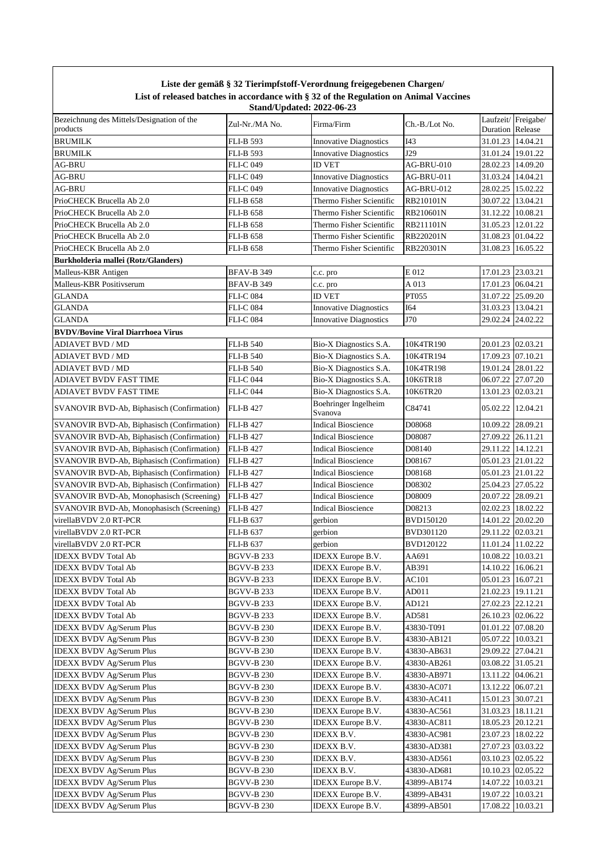## **Liste der gemäß § 32 Tierimpfstoff-Verordnung freigegebenen Chargen/ List of released batches in accordance with § 32 of the Regulation on Animal Vaccines Stand/Updated: 2022-06-23**

| Bezeichnung des Mittels/Designation of the        |                   |                                 |                  | Laufzeit/Freigabe/      |          |
|---------------------------------------------------|-------------------|---------------------------------|------------------|-------------------------|----------|
| products                                          | Zul-Nr./MA No.    | Firma/Firm                      | Ch.-B./Lot No.   | <b>Duration</b> Release |          |
| <b>BRUMILK</b>                                    |                   |                                 |                  |                         |          |
|                                                   | <b>FLI-B 593</b>  | <b>Innovative Diagnostics</b>   | I43              | 31.01.23 14.04.21       |          |
| <b>BRUMILK</b>                                    | <b>FLI-B 593</b>  | <b>Innovative Diagnostics</b>   | J29              | 31.01.24 19.01.22       |          |
| <b>AG-BRU</b>                                     | <b>FLI-C049</b>   | <b>ID VET</b>                   | AG-BRU-010       | 28.02.23 14.09.20       |          |
| <b>AG-BRU</b>                                     | <b>FLI-C049</b>   | <b>Innovative Diagnostics</b>   | AG-BRU-011       | 31.03.24 14.04.21       |          |
| <b>AG-BRU</b>                                     | <b>FLI-C049</b>   | <b>Innovative Diagnostics</b>   | AG-BRU-012       | 28.02.25 15.02.22       |          |
| PrioCHECK Brucella Ab 2.0                         | <b>FLI-B 658</b>  | Thermo Fisher Scientific        | RB210101N        | 30.07.22 13.04.21       |          |
| PrioCHECK Brucella Ab 2.0                         | <b>FLI-B 658</b>  | Thermo Fisher Scientific        | RB210601N        | 31.12.22 10.08.21       |          |
| PrioCHECK Brucella Ab 2.0                         | <b>FLI-B 658</b>  | Thermo Fisher Scientific        | RB211101N        | 31.05.23 12.01.22       |          |
| PrioCHECK Brucella Ab 2.0                         | <b>FLI-B 658</b>  | Thermo Fisher Scientific        | RB220201N        | 31.08.23                | 01.04.22 |
|                                                   |                   | Thermo Fisher Scientific        | RB220301N        | 31.08.23                | 16.05.22 |
| PrioCHECK Brucella Ab 2.0                         | <b>FLI-B 658</b>  |                                 |                  |                         |          |
| Burkholderia mallei (Rotz/Glanders)               |                   |                                 |                  |                         |          |
| Malleus-KBR Antigen                               | BFAV-B 349        | c.c. pro                        | E 012            | 17.01.23 23.03.21       |          |
| Malleus-KBR Positivserum                          | BFAV-B 349        | c.c. pro                        | A 013            | 17.01.23 06.04.21       |          |
| <b>GLANDA</b>                                     | FLI-C 084         | <b>ID VET</b>                   | PT055            | 31.07.22 25.09.20       |          |
| <b>GLANDA</b>                                     | FLI-C 084         | <b>Innovative Diagnostics</b>   | I64              | 31.03.23 13.04.21       |          |
| <b>GLANDA</b>                                     | <b>FLI-C 084</b>  | <b>Innovative Diagnostics</b>   | J70              | 29.02.24 24.02.22       |          |
| <b>BVDV/Bovine Viral Diarrhoea Virus</b>          |                   |                                 |                  |                         |          |
| <b>ADIAVET BVD / MD</b>                           | <b>FLI-B 540</b>  | Bio-X Diagnostics S.A.          | 10K4TR190        | 20.01.23 02.03.21       |          |
| ADIAVET BVD / MD                                  | <b>FLI-B 540</b>  | Bio-X Diagnostics S.A.          | 10K4TR194        | 17.09.23 07.10.21       |          |
|                                                   |                   |                                 |                  |                         |          |
| ADIAVET BVD / MD                                  | <b>FLI-B 540</b>  | Bio-X Diagnostics S.A.          | 10K4TR198        | 19.01.24 28.01.22       |          |
| ADIAVET BVDV FAST TIME                            | <b>FLI-C 044</b>  | Bio-X Diagnostics S.A.          | 10K6TR18         | 06.07.22                | 27.07.20 |
| ADIAVET BVDV FAST TIME                            | <b>FLI-C 044</b>  | Bio-X Diagnostics S.A.          | 10K6TR20         | 13.01.23 02.03.21       |          |
| SVANOVIR BVD-Ab, Biphasisch (Confirmation)        | <b>FLI-B 427</b>  | Boehringer Ingelheim<br>Svanova | C84741           | 05.02.22 12.04.21       |          |
| <b>SVANOVIR BVD-Ab, Biphasisch (Confirmation)</b> | <b>FLI-B 427</b>  | <b>Indical Bioscience</b>       | D08068           | 10.09.22                | 28.09.21 |
| SVANOVIR BVD-Ab, Biphasisch (Confirmation)        | <b>FLI-B 427</b>  | <b>Indical Bioscience</b>       | D08087           | 27.09.22                | 26.11.21 |
|                                                   |                   | <b>Indical Bioscience</b>       | D08140           | 29.11.22 14.12.21       |          |
| SVANOVIR BVD-Ab, Biphasisch (Confirmation)        | <b>FLI-B 427</b>  |                                 |                  |                         |          |
| SVANOVIR BVD-Ab, Biphasisch (Confirmation)        | <b>FLI-B 427</b>  | <b>Indical Bioscience</b>       | D08167           | 05.01.23 21.01.22       |          |
| SVANOVIR BVD-Ab, Biphasisch (Confirmation)        | <b>FLI-B 427</b>  | <b>Indical Bioscience</b>       | D08168           | 05.01.23 21.01.22       |          |
| SVANOVIR BVD-Ab, Biphasisch (Confirmation)        | <b>FLI-B 427</b>  | <b>Indical Bioscience</b>       | D08302           | 25.04.23 27.05.22       |          |
| SVANOVIR BVD-Ab, Monophasisch (Screening)         | <b>FLI-B 427</b>  | <b>Indical Bioscience</b>       | D08009           | 20.07.22 28.09.21       |          |
| SVANOVIR BVD-Ab, Monophasisch (Screening)         | <b>FLI-B 427</b>  | <b>Indical Bioscience</b>       | D08213           | 02.02.23 18.02.22       |          |
| virellaBVDV 2.0 RT-PCR                            | <b>FLI-B 637</b>  | gerbion                         | <b>BVD150120</b> | 14.01.22 20.02.20       |          |
| virellaBVDV 2.0 RT-PCR                            | <b>FLI-B 637</b>  | gerbion                         | BVD301120        | 29.11.22                | 02.03.21 |
| virellaBVDV 2.0 RT-PCR                            | <b>FLI-B 637</b>  | gerbion                         | <b>BVD120122</b> | 11.01.24 11.02.22       |          |
| <b>IDEXX BVDV Total Ab</b>                        | <b>BGVV-B 233</b> | IDEXX Europe B.V.               | AA691            | 10.08.22 10.03.21       |          |
| <b>IDEXX BVDV Total Ab</b>                        | <b>BGVV-B 233</b> | IDEXX Europe B.V.               | AB391            | 14.10.22 16.06.21       |          |
|                                                   | <b>BGVV-B 233</b> |                                 |                  | 05.01.23 16.07.21       |          |
| <b>IDEXX BVDV Total Ab</b>                        |                   | <b>IDEXX</b> Europe B.V.        | AC101            |                         |          |
| <b>IDEXX BVDV Total Ab</b>                        | <b>BGVV-B 233</b> | <b>IDEXX</b> Europe B.V.        | AD011            | 21.02.23 19.11.21       |          |
| <b>IDEXX BVDV Total Ab</b>                        | BGVV-B 233        | <b>IDEXX</b> Europe B.V.        | AD121            | 27.02.23 22.12.21       |          |
| <b>IDEXX BVDV Total Ab</b>                        | <b>BGVV-B 233</b> | <b>IDEXX</b> Europe B.V.        | AD581            | 26.10.23 02.06.22       |          |
| <b>IDEXX BVDV Ag/Serum Plus</b>                   | BGVV-B 230        | <b>IDEXX</b> Europe B.V.        | 43830-T091       | 01.01.22                | 07.08.20 |
| <b>IDEXX BVDV Ag/Serum Plus</b>                   | BGVV-B 230        | <b>IDEXX</b> Europe B.V.        | 43830-AB121      | 05.07.22 10.03.21       |          |
| <b>IDEXX BVDV Ag/Serum Plus</b>                   | <b>BGVV-B 230</b> | <b>IDEXX</b> Europe B.V.        | 43830-AB631      | 29.09.22                | 27.04.21 |
| <b>IDEXX BVDV Ag/Serum Plus</b>                   | BGVV-B 230        | <b>IDEXX</b> Europe B.V.        | 43830-AB261      | 03.08.22 31.05.21       |          |
| <b>IDEXX BVDV Ag/Serum Plus</b>                   | BGVV-B 230        | IDEXX Europe B.V.               | 43830-AB971      | 13.11.22                | 04.06.21 |
| <b>IDEXX BVDV Ag/Serum Plus</b>                   | BGVV-B 230        | <b>IDEXX</b> Europe B.V.        | 43830-AC071      | 13.12.22                | 06.07.21 |
| <b>IDEXX BVDV Ag/Serum Plus</b>                   | BGVV-B 230        | <b>IDEXX</b> Europe B.V.        | 43830-AC411      | 15.01.23 30.07.21       |          |
| <b>IDEXX BVDV Ag/Serum Plus</b>                   | BGVV-B 230        | <b>IDEXX</b> Europe B.V.        | 43830-AC561      | 31.03.23 18.11.21       |          |
| <b>IDEXX BVDV Ag/Serum Plus</b>                   | BGVV-B 230        | <b>IDEXX</b> Europe B.V.        | 43830-AC811      | 18.05.23 20.12.21       |          |
|                                                   |                   |                                 |                  |                         |          |
| <b>IDEXX BVDV Ag/Serum Plus</b>                   | BGVV-B 230        | IDEXX B.V.                      | 43830-AC981      | 23.07.23 18.02.22       |          |
| IDEXX BVDV Ag/Serum Plus                          | BGVV-B 230        | IDEXX B.V.                      | 43830-AD381      | 27.07.23 03.03.22       |          |
| <b>IDEXX BVDV Ag/Serum Plus</b>                   | <b>BGVV-B 230</b> | IDEXX B.V.                      | 43830-AD561      | 03.10.23                | 02.05.22 |
| <b>IDEXX BVDV Ag/Serum Plus</b>                   | BGVV-B 230        | IDEXX B.V.                      | 43830-AD681      | 10.10.23                | 02.05.22 |
| <b>IDEXX BVDV Ag/Serum Plus</b>                   | BGVV-B 230        | <b>IDEXX</b> Europe B.V.        | 43899-AB174      | 14.07.22                | 10.03.21 |
| <b>IDEXX BVDV Ag/Serum Plus</b>                   | <b>BGVV-B 230</b> | <b>IDEXX</b> Europe B.V.        | 43899-AB431      | 19.07.22                | 10.03.21 |
| <b>IDEXX BVDV Ag/Serum Plus</b>                   | <b>BGVV-B 230</b> | <b>IDEXX</b> Europe B.V.        | 43899-AB501      | 17.08.22 10.03.21       |          |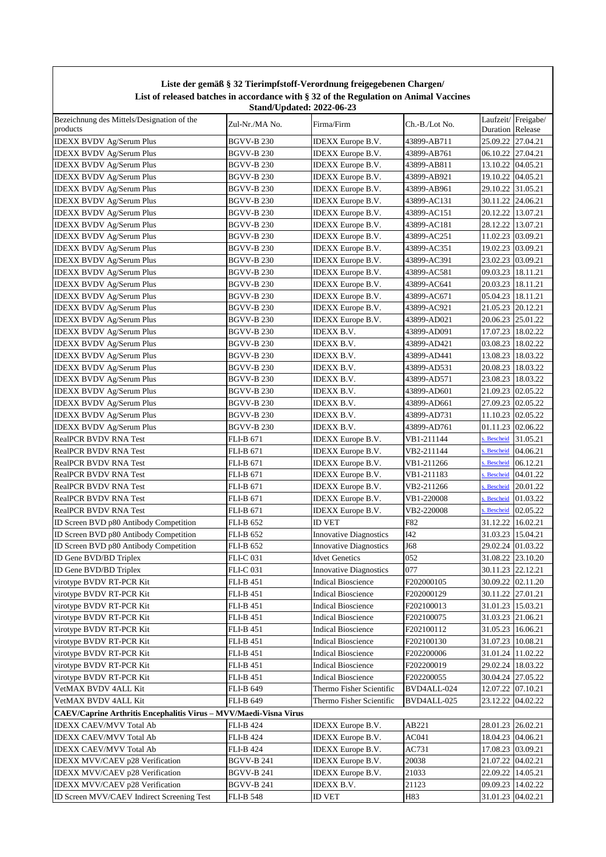|                                                                   |                   | Liste der gemäß § 32 Tierimpfstoff-Verordnung freigegebenen Chargen/<br>List of released batches in accordance with § 32 of the Regulation on Animal Vaccines |                |                     |                        |
|-------------------------------------------------------------------|-------------------|---------------------------------------------------------------------------------------------------------------------------------------------------------------|----------------|---------------------|------------------------|
| Bezeichnung des Mittels/Designation of the                        |                   | <b>Stand/Updated: 2022-06-23</b>                                                                                                                              |                |                     | Laufzeit/Freigabe/     |
| products                                                          | Zul-Nr./MA No.    | Firma/Firm                                                                                                                                                    | Ch.-B./Lot No. | Duration Release    |                        |
| <b>IDEXX BVDV Ag/Serum Plus</b>                                   | BGVV-B 230        | <b>IDEXX</b> Europe B.V.                                                                                                                                      | 43899-AB711    | 25.09.22 27.04.21   |                        |
| <b>IDEXX BVDV Ag/Serum Plus</b>                                   | BGVV-B 230        | <b>IDEXX</b> Europe B.V.                                                                                                                                      | 43899-AB761    | 06.10.22 27.04.21   |                        |
| <b>IDEXX BVDV Ag/Serum Plus</b>                                   | <b>BGVV-B 230</b> | <b>IDEXX</b> Europe B.V.                                                                                                                                      | 43899-AB811    | 13.10.22 04.05.21   |                        |
| <b>IDEXX BVDV Ag/Serum Plus</b>                                   | BGVV-B 230        | <b>IDEXX</b> Europe B.V.                                                                                                                                      | 43899-AB921    | 19.10.22 04.05.21   |                        |
| <b>IDEXX BVDV Ag/Serum Plus</b>                                   | BGVV-B 230        | <b>IDEXX</b> Europe B.V.                                                                                                                                      | 43899-AB961    | 29.10.22 31.05.21   |                        |
| <b>IDEXX BVDV Ag/Serum Plus</b>                                   | <b>BGVV-B 230</b> | <b>IDEXX</b> Europe B.V.                                                                                                                                      | 43899-AC131    | 30.11.22 24.06.21   |                        |
| <b>IDEXX BVDV Ag/Serum Plus</b>                                   | BGVV-B 230        | <b>IDEXX</b> Europe B.V.                                                                                                                                      | 43899-AC151    | 20.12.22 13.07.21   |                        |
| <b>IDEXX BVDV Ag/Serum Plus</b>                                   | BGVV-B 230        | IDEXX Europe B.V.                                                                                                                                             | 43899-AC181    | 28.12.22 13.07.21   |                        |
| <b>IDEXX BVDV Ag/Serum Plus</b>                                   | BGVV-B 230        | <b>IDEXX</b> Europe B.V.                                                                                                                                      | 43899-AC251    | 11.02.23 03.09.21   |                        |
| <b>IDEXX BVDV Ag/Serum Plus</b>                                   | BGVV-B 230        | IDEXX Europe B.V.                                                                                                                                             | 43899-AC351    | 19.02.23 03.09.21   |                        |
| <b>IDEXX BVDV Ag/Serum Plus</b>                                   | BGVV-B 230        | <b>IDEXX</b> Europe B.V.                                                                                                                                      | 43899-AC391    | 23.02.23 03.09.21   |                        |
| <b>IDEXX BVDV Ag/Serum Plus</b>                                   | BGVV-B 230        | <b>IDEXX</b> Europe B.V.                                                                                                                                      | 43899-AC581    | 09.03.23 18.11.21   |                        |
| <b>IDEXX BVDV Ag/Serum Plus</b>                                   | BGVV-B 230        | <b>IDEXX</b> Europe B.V.                                                                                                                                      | 43899-AC641    | 20.03.23 18.11.21   |                        |
| <b>IDEXX BVDV Ag/Serum Plus</b>                                   | BGVV-B 230        | <b>IDEXX</b> Europe B.V.                                                                                                                                      | 43899-AC671    | 05.04.23   18.11.21 |                        |
| <b>IDEXX BVDV Ag/Serum Plus</b>                                   | <b>BGVV-B 230</b> | <b>IDEXX</b> Europe B.V.                                                                                                                                      | 43899-AC921    | 21.05.23 20.12.21   |                        |
| <b>IDEXX BVDV Ag/Serum Plus</b>                                   | BGVV-B 230        | <b>IDEXX</b> Europe B.V.                                                                                                                                      | 43899-AD021    | 20.06.23 25.01.22   |                        |
| <b>IDEXX BVDV Ag/Serum Plus</b>                                   | <b>BGVV-B 230</b> | <b>IDEXX B.V.</b>                                                                                                                                             | 43899-AD091    | 17.07.23   18.02.22 |                        |
| <b>IDEXX BVDV Ag/Serum Plus</b>                                   | <b>BGVV-B 230</b> | <b>IDEXX B.V.</b>                                                                                                                                             | 43899-AD421    | 03.08.23 18.02.22   |                        |
| <b>IDEXX BVDV Ag/Serum Plus</b>                                   | BGVV-B 230        | <b>IDEXX B.V.</b>                                                                                                                                             | 43899-AD441    | 13.08.23 18.03.22   |                        |
| <b>IDEXX BVDV Ag/Serum Plus</b>                                   | BGVV-B 230        | <b>IDEXX B.V.</b>                                                                                                                                             | 43899-AD531    | 20.08.23 18.03.22   |                        |
| <b>IDEXX BVDV Ag/Serum Plus</b>                                   | <b>BGVV-B 230</b> | <b>IDEXX B.V.</b>                                                                                                                                             | 43899-AD571    | 23.08.23 18.03.22   |                        |
| <b>IDEXX BVDV Ag/Serum Plus</b>                                   | BGVV-B 230        | <b>IDEXX B.V.</b>                                                                                                                                             | 43899-AD601    | 21.09.23 02.05.22   |                        |
| <b>IDEXX BVDV Ag/Serum Plus</b>                                   | BGVV-B 230        | IDEXX B.V.                                                                                                                                                    | 43899-AD661    | 27.09.23 02.05.22   |                        |
| <b>IDEXX BVDV Ag/Serum Plus</b>                                   | BGVV-B 230        | IDEXX B.V.                                                                                                                                                    | 43899-AD731    | 11.10.23 02.05.22   |                        |
| <b>IDEXX BVDV Ag/Serum Plus</b>                                   | <b>BGVV-B 230</b> | IDEXX B.V.                                                                                                                                                    | 43899-AD761    | 01.11.23            | 02.06.22               |
| <b>RealPCR BVDV RNA Test</b>                                      | FLI-B 671         | <b>IDEXX</b> Europe B.V.                                                                                                                                      | VB1-211144     | s. Bescheid         | 31.05.21               |
| <b>RealPCR BVDV RNA Test</b>                                      | FLI-B 671         | <b>IDEXX</b> Europe B.V.                                                                                                                                      | VB2-211144     | s. Bescheid         | 04.06.21               |
| <b>RealPCR BVDV RNA Test</b>                                      | FLI-B 671         | <b>IDEXX</b> Europe B.V.                                                                                                                                      | VB1-211266     | <b>Bescheid</b>     | 06.12.21               |
| <b>RealPCR BVDV RNA Test</b>                                      | <b>FLI-B 671</b>  | IDEXX Europe B.V.                                                                                                                                             | VB1-211183     | <b>Bescheid</b>     | 04.01.22               |
| <b>RealPCR BVDV RNA Test</b>                                      | FLI-B 671         | <b>IDEXX</b> Europe B.V.                                                                                                                                      | VB2-211266     | s. Bescheid         | 20.01.22               |
| <b>RealPCR BVDV RNA Test</b>                                      | FLI-B 671         | <b>IDEXX</b> Europe B.V.                                                                                                                                      | VB1-220008     | <b>Bescheid</b>     | 01.03.22               |
| <b>RealPCR BVDV RNA Test</b>                                      | <b>FLI-B 671</b>  | <b>IDEXX</b> Europe B.V.                                                                                                                                      | VB2-220008     |                     | s. Bescheid $02.05.22$ |
| ID Screen BVD p80 Antibody Competition                            | <b>FLI-B 652</b>  | <b>ID VET</b>                                                                                                                                                 | F82            | 31.12.22 16.02.21   |                        |
| ID Screen BVD p80 Antibody Competition                            | FLI-B 652         | <b>Innovative Diagnostics</b>                                                                                                                                 | I42            | 31.03.23 15.04.21   |                        |
| ID Screen BVD p80 Antibody Competition                            | FLI-B 652         | <b>Innovative Diagnostics</b>                                                                                                                                 | J68            | 29.02.24 01.03.22   |                        |
| ID Gene BVD/BD Triplex                                            | FLI-C 031         | <b>Idvet Genetics</b>                                                                                                                                         | 052            | 31.08.22 23.10.20   |                        |
| ID Gene BVD/BD Triplex                                            | <b>FLI-C 031</b>  | <b>Innovative Diagnostics</b>                                                                                                                                 | 077            | 30.11.23 22.12.21   |                        |
| virotype BVDV RT-PCR Kit                                          | <b>FLI-B 451</b>  | <b>Indical Bioscience</b>                                                                                                                                     | F202000105     | 30.09.22 02.11.20   |                        |
| virotype BVDV RT-PCR Kit                                          | <b>FLI-B 451</b>  | <b>Indical Bioscience</b>                                                                                                                                     | F202000129     | 30.11.22 27.01.21   |                        |
| virotype BVDV RT-PCR Kit                                          | <b>FLI-B 451</b>  | <b>Indical Bioscience</b>                                                                                                                                     | F202100013     | 31.01.23 15.03.21   |                        |
| virotype BVDV RT-PCR Kit                                          | <b>FLI-B 451</b>  | <b>Indical Bioscience</b>                                                                                                                                     | F202100075     | 31.03.23 21.06.21   |                        |
| virotype BVDV RT-PCR Kit                                          | <b>FLI-B 451</b>  | <b>Indical Bioscience</b>                                                                                                                                     | F202100112     | 31.05.23 16.06.21   |                        |
| virotype BVDV RT-PCR Kit                                          | <b>FLI-B 451</b>  | <b>Indical Bioscience</b>                                                                                                                                     | F202100130     | 31.07.23 10.08.21   |                        |
| virotype BVDV RT-PCR Kit                                          | FLI-B 451         | <b>Indical Bioscience</b>                                                                                                                                     | F202200006     | 31.01.24 11.02.22   |                        |
| virotype BVDV RT-PCR Kit                                          | FLI-B 451         | <b>Indical Bioscience</b>                                                                                                                                     | F202200019     | 29.02.24 18.03.22   |                        |
| virotype BVDV RT-PCR Kit                                          | <b>FLI-B 451</b>  | <b>Indical Bioscience</b>                                                                                                                                     | F202200055     | 30.04.24 27.05.22   |                        |
| VetMAX BVDV 4ALL Kit                                              | <b>FLI-B 649</b>  | Thermo Fisher Scientific                                                                                                                                      | BVD4ALL-024    | 12.07.22 07.10.21   |                        |
| VetMAX BVDV 4ALL Kit                                              | FLI-B 649         | Thermo Fisher Scientific                                                                                                                                      | BVD4ALL-025    | 23.12.22            | 04.02.22               |
| CAEV/Caprine Arthritis Encephalitis Virus - MVV/Maedi-Visna Virus |                   |                                                                                                                                                               |                |                     |                        |
| <b>IDEXX CAEV/MVV Total Ab</b>                                    | <b>FLI-B 424</b>  | <b>IDEXX</b> Europe B.V.                                                                                                                                      | AB221          | 28.01.23 26.02.21   |                        |
| <b>IDEXX CAEV/MVV Total Ab</b>                                    | <b>FLI-B 424</b>  | <b>IDEXX</b> Europe B.V.                                                                                                                                      | AC041          | 18.04.23 04.06.21   |                        |
| <b>IDEXX CAEV/MVV Total Ab</b>                                    | FLI-B 424         | <b>IDEXX</b> Europe B.V.                                                                                                                                      | AC731          | 17.08.23 03.09.21   |                        |
| IDEXX MVV/CAEV p28 Verification                                   | <b>BGVV-B 241</b> | <b>IDEXX</b> Europe B.V.                                                                                                                                      | 20038          | 21.07.22 04.02.21   |                        |
| IDEXX MVV/CAEV p28 Verification                                   | <b>BGVV-B 241</b> | <b>IDEXX</b> Europe B.V.                                                                                                                                      | 21033          | 22.09.22 14.05.21   |                        |
| IDEXX MVV/CAEV p28 Verification                                   | BGVV-B 241        | IDEXX B.V.                                                                                                                                                    | 21123          | 09.09.23 14.02.22   |                        |
| ID Screen MVV/CAEV Indirect Screening Test                        | <b>FLI-B 548</b>  | <b>ID VET</b>                                                                                                                                                 | H83            | 31.01.23 04.02.21   |                        |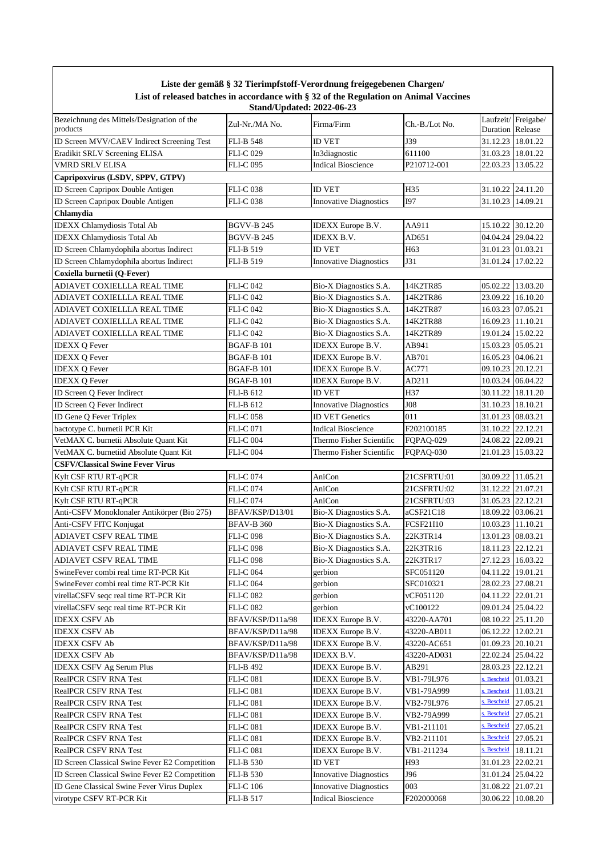|                                                        |                                  | Liste der gemäß § 32 Tierimpfstoff-Verordnung freigegebenen Chargen/                  |                  |                     |                    |
|--------------------------------------------------------|----------------------------------|---------------------------------------------------------------------------------------|------------------|---------------------|--------------------|
|                                                        | <b>Stand/Updated: 2022-06-23</b> | List of released batches in accordance with § 32 of the Regulation on Animal Vaccines |                  |                     |                    |
| Bezeichnung des Mittels/Designation of the<br>products | Zul-Nr./MA No.                   | Firma/Firm                                                                            | Ch.-B./Lot No.   | Duration Release    | Laufzeit/Freigabe/ |
| ID Screen MVV/CAEV Indirect Screening Test             | <b>FLI-B 548</b>                 | <b>ID VET</b>                                                                         | J39              | 31.12.23 18.01.22   |                    |
| Eradikit SRLV Screening ELISA                          | <b>FLI-C 029</b>                 | In3diagnostic                                                                         | 611100           | 31.03.23 18.01.22   |                    |
| VMRD SRLV ELISA                                        | <b>FLI-C 095</b>                 | <b>Indical Bioscience</b>                                                             | P210712-001      | 22.03.23            | 13.05.22           |
| Capripoxvirus (LSDV, SPPV, GTPV)                       |                                  |                                                                                       |                  |                     |                    |
| ID Screen Capripox Double Antigen                      | <b>FLI-C 038</b>                 | <b>ID VET</b>                                                                         | H35              | 31.10.22            | 24.11.20           |
| ID Screen Capripox Double Antigen                      | <b>FLI-C 038</b>                 | <b>Innovative Diagnostics</b>                                                         | <b>I97</b>       | 31.10.23 14.09.21   |                    |
| Chlamydia                                              |                                  |                                                                                       |                  |                     |                    |
| <b>IDEXX Chlamydiosis Total Ab</b>                     | <b>BGVV-B 245</b>                | <b>IDEXX</b> Europe B.V.                                                              | AA911            | 15.10.22            | 30.12.20           |
| <b>IDEXX</b> Chlamydiosis Total Ab                     | <b>BGVV-B 245</b>                | IDEXX B.V.                                                                            | AD651            | 04.04.24 29.04.22   |                    |
| ID Screen Chlamydophila abortus Indirect               | <b>FLI-B 519</b>                 | <b>ID VET</b>                                                                         | H63              | 31.01.23 01.03.21   |                    |
| ID Screen Chlamydophila abortus Indirect               | <b>FLI-B 519</b>                 | <b>Innovative Diagnostics</b>                                                         | J31              | 31.01.24 17.02.22   |                    |
| Coxiella burnetii (Q-Fever)                            |                                  |                                                                                       |                  |                     |                    |
| ADIAVET COXIELLLA REAL TIME                            | <b>FLI-C 042</b>                 | Bio-X Diagnostics S.A.                                                                | 14K2TR85         | 05.02.22 13.03.20   |                    |
| ADIAVET COXIELLLA REAL TIME                            | <b>FLI-C 042</b>                 | Bio-X Diagnostics S.A.                                                                | 14K2TR86         | 23.09.22 16.10.20   |                    |
| ADIAVET COXIELLLA REAL TIME                            | <b>FLI-C 042</b>                 | Bio-X Diagnostics S.A.                                                                | 14K2TR87         | 16.03.23 07.05.21   |                    |
| ADIAVET COXIELLLA REAL TIME                            | <b>FLI-C 042</b>                 | Bio-X Diagnostics S.A.                                                                | 14K2TR88         | 16.09.23 11.10.21   |                    |
| ADIAVET COXIELLLA REAL TIME                            | <b>FLI-C 042</b>                 | Bio-X Diagnostics S.A.                                                                | 14K2TR89         | 19.01.24 15.02.22   |                    |
| <b>IDEXX Q Fever</b>                                   | <b>BGAF-B 101</b>                | <b>IDEXX</b> Europe B.V.                                                              | AB941            | 15.03.23 05.05.21   |                    |
| <b>IDEXX Q Fever</b>                                   | <b>BGAF-B 101</b>                | IDEXX Europe B.V.                                                                     | AB701            | 16.05.23 04.06.21   |                    |
| <b>IDEXX Q Fever</b>                                   | <b>BGAF-B 101</b>                | <b>IDEXX</b> Europe B.V.                                                              | AC771            | 09.10.23 20.12.21   |                    |
| <b>IDEXX Q Fever</b>                                   | <b>BGAF-B 101</b>                | <b>IDEXX</b> Europe B.V.                                                              | AD211            | 10.03.24 06.04.22   |                    |
| ID Screen Q Fever Indirect                             | <b>FLI-B 612</b>                 | ID VET                                                                                | H37              | 30.11.22            | 18.11.20           |
| ID Screen Q Fever Indirect                             | FLI-B 612                        | <b>Innovative Diagnostics</b>                                                         | <b>J08</b>       | 31.10.23 18.10.21   |                    |
| ID Gene Q Fever Triplex                                | <b>FLI-C 058</b>                 | <b>ID VET Genetics</b>                                                                | 011              | 31.01.23 08.03.21   |                    |
| bactotype C. burnetii PCR Kit                          | <b>FLI-C071</b>                  | <b>Indical Bioscience</b>                                                             | F202100185       | 31.10.22            | 22.12.21           |
| VetMAX C. burnetii Absolute Quant Kit                  | <b>FLI-C 004</b>                 | Thermo Fisher Scientific                                                              | FQPAQ-029        | 24.08.22            | 22.09.21           |
| VetMAX C. burnetiid Absolute Quant Kit                 | <b>FLI-C 004</b>                 | Thermo Fisher Scientific                                                              | FQPAQ-030        | 21.01.23 15.03.22   |                    |
| <b>CSFV/Classical Swine Fever Virus</b>                |                                  |                                                                                       |                  |                     |                    |
| Kylt CSF RTU RT-qPCR                                   | <b>FLI-C074</b>                  | AniCon                                                                                | 21CSFRTU:01      | 30.09.22   11.05.21 |                    |
| Kylt CSF RTU RT-qPCR                                   | <b>FLI-C 074</b>                 | AniCon                                                                                | 21CSFRTU:02      | 31.12.22 21.07.21   |                    |
| Kylt CSF RTU RT-qPCR                                   | <b>FLI-C074</b>                  | AniCon                                                                                | 21CSFRTU:03      | 31.05.23            | 22.12.21           |
| Anti-CSFV Monoklonaler Antikörper (Bio 275)            | BFAV/KSP/D13/01                  | Bio-X Diagnostics S.A.                                                                | aCSF21C18        | 18.09.22 03.06.21   |                    |
| Anti-CSFV FITC Konjugat                                | <b>BFAV-B 360</b>                | Bio-X Diagnostics S.A.                                                                | <b>FCSF21I10</b> | 10.03.23 11.10.21   |                    |
| ADIAVET CSFV REAL TIME                                 | <b>FLI-C098</b>                  | Bio-X Diagnostics S.A.                                                                | 22K3TR14         | 13.01.23 08.03.21   |                    |
| ADIAVET CSFV REAL TIME                                 | <b>FLI-C 098</b>                 | Bio-X Diagnostics S.A.                                                                | 22K3TR16         | 18.11.23 22.12.21   |                    |
| ADIAVET CSFV REAL TIME                                 | <b>FLI-C 098</b>                 | Bio-X Diagnostics S.A.                                                                | 22K3TR17         | 27.12.23 16.03.22   |                    |
| SwineFever combi real time RT-PCR Kit                  | <b>FLI-C 064</b>                 | gerbion                                                                               | SFC051120        | 04.11.22            | 19.01.21           |
| SwineFever combi real time RT-PCR Kit                  | <b>FLI-C 064</b>                 | gerbion                                                                               | SFC010321        | 28.02.23 27.08.21   |                    |
| virellaCSFV seqc real time RT-PCR Kit                  | <b>FLI-C 082</b>                 | gerbion                                                                               | vCF051120        | 04.11.22 22.01.21   |                    |
| virellaCSFV seqc real time RT-PCR Kit                  | FLI-C 082                        | gerbion                                                                               | vC100122         | 09.01.24 25.04.22   |                    |
| <b>IDEXX CSFV Ab</b>                                   | BFAV/KSP/D11a/98                 | IDEXX Europe B.V.                                                                     | 43220-AA701      | 08.10.22            | 25.11.20           |
| <b>IDEXX CSFV Ab</b>                                   | BFAV/KSP/D11a/98                 | <b>IDEXX</b> Europe B.V.                                                              | 43220-AB011      | 06.12.22            | 12.02.21           |
| <b>IDEXX CSFV Ab</b>                                   | BFAV/KSP/D11a/98                 | IDEXX Europe B.V.                                                                     | 43220-AC651      | 01.09.23            | 20.10.21           |
| <b>IDEXX CSFV Ab</b>                                   | BFAV/KSP/D11a/98                 | IDEXX B.V.                                                                            | 43220-AD031      | 22.02.24 25.04.22   |                    |
| <b>IDEXX CSFV Ag Serum Plus</b>                        | <b>FLI-B 492</b>                 | <b>IDEXX</b> Europe B.V.                                                              | AB291            | 28.03.23 22.12.21   |                    |
| RealPCR CSFV RNA Test                                  | <b>FLI-C 081</b>                 | <b>IDEXX</b> Europe B.V.                                                              | VB1-79L976       | . Bescheid          | 01.03.21           |
| RealPCR CSFV RNA Test                                  | <b>FLI-C 081</b>                 | <b>IDEXX</b> Europe B.V.                                                              | VB1-79A999       | . Bescheid          | 11.03.21           |
| RealPCR CSFV RNA Test                                  | <b>FLI-C 081</b>                 | <b>IDEXX</b> Europe B.V.                                                              | VB2-79L976       | . Bescheid          | 27.05.21           |
| RealPCR CSFV RNA Test                                  | <b>FLI-C 081</b>                 | <b>IDEXX</b> Europe B.V.                                                              | VB2-79A999       | s. Bescheid         | 27.05.21           |
| RealPCR CSFV RNA Test                                  | <b>FLI-C 081</b>                 | <b>IDEXX</b> Europe B.V.                                                              | VB1-211101       | s. Bescheid         | 27.05.21           |
| RealPCR CSFV RNA Test                                  | <b>FLI-C 081</b>                 | <b>IDEXX</b> Europe B.V.                                                              | VB2-211101       | . Bescheid          | 27.05.21           |
| RealPCR CSFV RNA Test                                  | <b>FLI-C 081</b>                 | IDEXX Europe B.V.                                                                     | VB1-211234       | . Bescheid          | 18.11.21           |
| ID Screen Classical Swine Fever E2 Competition         | <b>FLI-B 530</b>                 | ID VET                                                                                | H93              | 31.01.23            | 22.02.21           |
| ID Screen Classical Swine Fever E2 Competition         | <b>FLI-B 530</b>                 | <b>Innovative Diagnostics</b>                                                         | J96              | 31.01.24            | 25.04.22           |
| ID Gene Classical Swine Fever Virus Duplex             | <b>FLI-C</b> 106                 | <b>Innovative Diagnostics</b>                                                         | 003              | 31.08.22            | 21.07.21           |
| virotype CSFV RT-PCR Kit                               | <b>FLI-B 517</b>                 | Indical Bioscience                                                                    | F202000068       | 30.06.22            | 10.08.20           |

 $\overline{\phantom{a}}$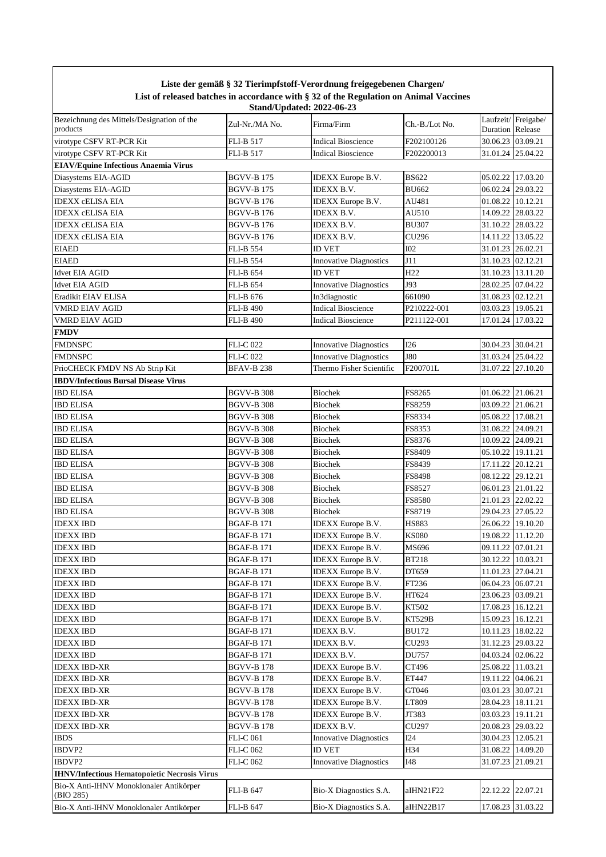|                                                        | Liste del geman y 52 Tiermipiston - verorunung ireigegebenen Chargen<br>List of released batches in accordance with § 32 of the Regulation on Animal Vaccines<br><b>Stand/Updated: 2022-06-23</b> |                                        |                        |                                        |                    |  |  |  |
|--------------------------------------------------------|---------------------------------------------------------------------------------------------------------------------------------------------------------------------------------------------------|----------------------------------------|------------------------|----------------------------------------|--------------------|--|--|--|
| Bezeichnung des Mittels/Designation of the<br>products | Zul-Nr./MA No.                                                                                                                                                                                    | Firma/Firm                             | Ch.-B./Lot No.         | <b>Duration</b> Release                | Laufzeit/Freigabe/ |  |  |  |
| virotype CSFV RT-PCR Kit                               | <b>FLI-B 517</b>                                                                                                                                                                                  | <b>Indical Bioscience</b>              | F202100126             | 30.06.23 03.09.21                      |                    |  |  |  |
| virotype CSFV RT-PCR Kit                               | <b>FLI-B 517</b>                                                                                                                                                                                  | <b>Indical Bioscience</b>              | F202200013             | 31.01.24 25.04.22                      |                    |  |  |  |
| <b>EIAV/Equine Infectious Anaemia Virus</b>            |                                                                                                                                                                                                   |                                        |                        |                                        |                    |  |  |  |
| Diasystems EIA-AGID                                    | <b>BGVV-B175</b>                                                                                                                                                                                  | IDEXX Europe B.V.                      | <b>BS622</b>           | 05.02.22 17.03.20                      |                    |  |  |  |
| Diasystems EIA-AGID                                    | <b>BGVV-B175</b>                                                                                                                                                                                  | <b>IDEXX B.V.</b>                      | <b>BU662</b>           | 06.02.24 29.03.22                      |                    |  |  |  |
| <b>IDEXX CELISA EIA</b>                                | <b>BGVV-B176</b>                                                                                                                                                                                  | <b>IDEXX</b> Europe B.V.               | AU481                  | 01.08.22 10.12.21                      |                    |  |  |  |
| <b>IDEXX cELISA EIA</b>                                | <b>BGVV-B176</b>                                                                                                                                                                                  | IDEXX B.V.                             | AU510                  | 14.09.22 28.03.22                      |                    |  |  |  |
| <b>IDEXX cELISA EIA</b>                                | <b>BGVV-B176</b>                                                                                                                                                                                  | <b>IDEXX B.V.</b>                      | <b>BU307</b>           | 31.10.22 28.03.22                      |                    |  |  |  |
| <b>IDEXX cELISA EIA</b>                                | <b>BGVV-B176</b>                                                                                                                                                                                  | <b>IDEXX B.V.</b>                      | CU296                  | 14.11.22 13.05.22                      |                    |  |  |  |
| <b>EIAED</b>                                           | <b>FLI-B 554</b>                                                                                                                                                                                  | <b>ID VET</b>                          | I02                    | 31.01.23 26.02.21                      |                    |  |  |  |
| <b>EIAED</b>                                           | <b>FLI-B 554</b>                                                                                                                                                                                  | <b>Innovative Diagnostics</b>          | J11                    | 31.10.23 02.12.21                      |                    |  |  |  |
| <b>Idvet EIA AGID</b>                                  | <b>FLI-B 654</b>                                                                                                                                                                                  | <b>ID VET</b>                          | H <sub>22</sub>        | 31.10.23 13.11.20                      |                    |  |  |  |
| <b>Idvet EIA AGID</b>                                  | <b>FLI-B 654</b>                                                                                                                                                                                  | <b>Innovative Diagnostics</b>          | J93                    | 28.02.25 07.04.22                      |                    |  |  |  |
| Eradikit EIAV ELISA                                    | <b>FLI-B 676</b>                                                                                                                                                                                  | In3diagnostic                          | 661090                 | 31.08.23 02.12.21                      |                    |  |  |  |
| <b>VMRD EIAV AGID</b>                                  | <b>FLI-B 490</b>                                                                                                                                                                                  | <b>Indical Bioscience</b>              | P210222-001            | 03.03.23 19.05.21                      |                    |  |  |  |
| <b>VMRD EIAV AGID</b>                                  | <b>FLI-B 490</b>                                                                                                                                                                                  | <b>Indical Bioscience</b>              | P211122-001            | 17.01.24 17.03.22                      |                    |  |  |  |
| <b>FMDV</b>                                            |                                                                                                                                                                                                   |                                        |                        |                                        |                    |  |  |  |
| <b>FMDNSPC</b>                                         | <b>FLI-C 022</b>                                                                                                                                                                                  | <b>Innovative Diagnostics</b>          | I26                    | 30.04.23 30.04.21                      |                    |  |  |  |
| <b>FMDNSPC</b>                                         | <b>FLI-C 022</b>                                                                                                                                                                                  | <b>Innovative Diagnostics</b>          | <b>J80</b>             | 31.03.24 25.04.22                      |                    |  |  |  |
| PrioCHECK FMDV NS Ab Strip Kit                         | <b>BFAV-B238</b>                                                                                                                                                                                  | Thermo Fisher Scientific               | F200701L               | 31.07.22 27.10.20                      |                    |  |  |  |
| <b>IBDV/Infectious Bursal Disease Virus</b>            |                                                                                                                                                                                                   |                                        |                        |                                        |                    |  |  |  |
| <b>IBD ELISA</b>                                       | <b>BGVV-B 308</b>                                                                                                                                                                                 | <b>Biochek</b>                         | FS8265                 | 01.06.22 21.06.21                      |                    |  |  |  |
| <b>IBD ELISA</b>                                       | <b>BGVV-B 308</b>                                                                                                                                                                                 | <b>Biochek</b>                         | FS8259                 | 03.09.22 21.06.21                      |                    |  |  |  |
| <b>IBD ELISA</b>                                       | <b>BGVV-B 308</b>                                                                                                                                                                                 | <b>Biochek</b>                         | FS8334                 | 05.08.22 17.08.21                      |                    |  |  |  |
| <b>IBD ELISA</b>                                       | <b>BGVV-B 308</b>                                                                                                                                                                                 | <b>Biochek</b>                         | FS8353                 | 31.08.22 24.09.21                      |                    |  |  |  |
| <b>IBD ELISA</b>                                       | BGVV-B 308                                                                                                                                                                                        | <b>Biochek</b>                         | FS8376                 | 10.09.22 24.09.21                      |                    |  |  |  |
| <b>IBD ELISA</b>                                       | <b>BGVV-B 308</b>                                                                                                                                                                                 | <b>Biochek</b>                         | FS8409                 | 05.10.22 19.11.21                      |                    |  |  |  |
| <b>IBD ELISA</b>                                       | <b>BGVV-B 308</b>                                                                                                                                                                                 | <b>Biochek</b>                         | FS8439                 | 17.11.22 20.12.21                      |                    |  |  |  |
| <b>IBD ELISA</b>                                       | <b>BGVV-B 308</b>                                                                                                                                                                                 | <b>Biochek</b>                         | FS8498                 | 08.12.22 29.12.21                      |                    |  |  |  |
| <b>IBD ELISA</b>                                       | <b>BGVV-B 308</b>                                                                                                                                                                                 | <b>Biochek</b>                         | FS8527                 | 06.01.23 21.01.22                      |                    |  |  |  |
| <b>IBD ELISA</b>                                       | <b>BGVV-B 308</b>                                                                                                                                                                                 | <b>Biochek</b>                         | FS8580                 | 21.01.23 22.02.22                      |                    |  |  |  |
| <b>IBD ELISA</b>                                       | <b>BGVV-B 308</b>                                                                                                                                                                                 | <b>Biochek</b>                         | FS8719                 | 29.04.23 27.05.22                      |                    |  |  |  |
| <b>IDEXX IBD</b>                                       | <b>BGAF-B171</b>                                                                                                                                                                                  | <b>IDEXX</b> Europe B.V.               | <b>HS883</b>           | 26.06.22 19.10.20                      |                    |  |  |  |
| <b>IDEXX IBD</b>                                       | <b>BGAF-B171</b>                                                                                                                                                                                  | <b>IDEXX</b> Europe B.V.               | <b>KS080</b>           | 19.08.22 11.12.20                      |                    |  |  |  |
| <b>IDEXX IBD</b>                                       | <b>BGAF-B171</b>                                                                                                                                                                                  | <b>IDEXX</b> Europe B.V.               | MS696                  | 09.11.22 07.01.21                      |                    |  |  |  |
| <b>IDEXX IBD</b>                                       | <b>BGAF-B171</b>                                                                                                                                                                                  | <b>IDEXX</b> Europe B.V.               | <b>BT218</b>           | 30.12.22 10.03.21                      |                    |  |  |  |
| <b>IDEXX IBD</b>                                       | <b>BGAF-B171</b>                                                                                                                                                                                  | IDEXX Europe B.V.                      | DT659                  | 11.01.23 27.04.21                      |                    |  |  |  |
| <b>IDEXX IBD</b>                                       | <b>BGAF-B171</b>                                                                                                                                                                                  | IDEXX Europe B.V.                      | FT236                  | 06.04.23 06.07.21                      |                    |  |  |  |
| <b>IDEXX IBD</b>                                       | <b>BGAF-B171</b>                                                                                                                                                                                  | <b>IDEXX</b> Europe B.V.               | HT624                  | 23.06.23 03.09.21                      |                    |  |  |  |
| <b>IDEXX IBD</b><br><b>IDEXX IBD</b>                   | <b>BGAF-B171</b>                                                                                                                                                                                  | IDEXX Europe B.V.                      | KT502                  | 17.08.23 16.12.21<br>15.09.23 16.12.21 |                    |  |  |  |
| <b>IDEXX IBD</b>                                       | <b>BGAF-B171</b><br><b>BGAF-B171</b>                                                                                                                                                              | <b>IDEXX</b> Europe B.V.<br>IDEXX B.V. | KT529B<br><b>BU172</b> | 10.11.23   18.02.22                    |                    |  |  |  |
| <b>IDEXX IBD</b>                                       | <b>BGAF-B171</b>                                                                                                                                                                                  | IDEXX B.V.                             | CU293                  | 31.12.23 29.03.22                      |                    |  |  |  |
| <b>IDEXX IBD</b>                                       | <b>BGAF-B 171</b>                                                                                                                                                                                 | <b>IDEXX B.V.</b>                      | DU757                  | 04.03.24 02.06.22                      |                    |  |  |  |
| <b>IDEXX IBD-XR</b>                                    | BGVV-B 178                                                                                                                                                                                        | <b>IDEXX</b> Europe B.V.               | CT496                  | 25.08.22 11.03.21                      |                    |  |  |  |
| <b>IDEXX IBD-XR</b>                                    | BGVV-B 178                                                                                                                                                                                        | IDEXX Europe B.V.                      | ET447                  | 19.11.22 04.06.21                      |                    |  |  |  |
| <b>IDEXX IBD-XR</b>                                    | <b>BGVV-B 178</b>                                                                                                                                                                                 | IDEXX Europe B.V.                      | GT046                  | 03.01.23 30.07.21                      |                    |  |  |  |
| <b>IDEXX IBD-XR</b>                                    | <b>BGVV-B 178</b>                                                                                                                                                                                 | IDEXX Europe B.V.                      | LT809                  | 28.04.23 18.11.21                      |                    |  |  |  |
| <b>IDEXX IBD-XR</b>                                    | <b>BGVV-B178</b>                                                                                                                                                                                  | IDEXX Europe B.V.                      | JT383                  | 03.03.23 19.11.21                      |                    |  |  |  |
| <b>IDEXX IBD-XR</b>                                    | <b>BGVV-B178</b>                                                                                                                                                                                  | IDEXX B.V.                             | CU297                  | 20.08.23 29.03.22                      |                    |  |  |  |
| <b>IBDS</b>                                            | <b>FLI-C 061</b>                                                                                                                                                                                  | <b>Innovative Diagnostics</b>          | I24                    | 30.04.23 12.05.21                      |                    |  |  |  |
| IBDVP2                                                 | <b>FLI-C 062</b>                                                                                                                                                                                  | <b>ID VET</b>                          | H34                    | 31.08.22 14.09.20                      |                    |  |  |  |
| IBDVP2                                                 | <b>FLI-C 062</b>                                                                                                                                                                                  | <b>Innovative Diagnostics</b>          | I48                    | 31.07.23 21.09.21                      |                    |  |  |  |
| <b>IHNV/Infectious Hematopoietic Necrosis Virus</b>    |                                                                                                                                                                                                   |                                        |                        |                                        |                    |  |  |  |
| Bio-X Anti-IHNV Monoklonaler Antikörper                |                                                                                                                                                                                                   |                                        |                        |                                        |                    |  |  |  |
| (BIO 285)                                              | <b>FLI-B 647</b>                                                                                                                                                                                  | Bio-X Diagnostics S.A.                 | aIHN21F22              | 22.12.22 22.07.21                      |                    |  |  |  |
| Bio-X Anti-IHNV Monoklonaler Antikörper                | <b>FLI-B 647</b>                                                                                                                                                                                  | Bio-X Diagnostics S.A.                 | aIHN22B17              | 17.08.23 31.03.22                      |                    |  |  |  |

## **Liste der gemäß § 32 Tierimpfstoff-Verordnung freigegebenen Chargen/**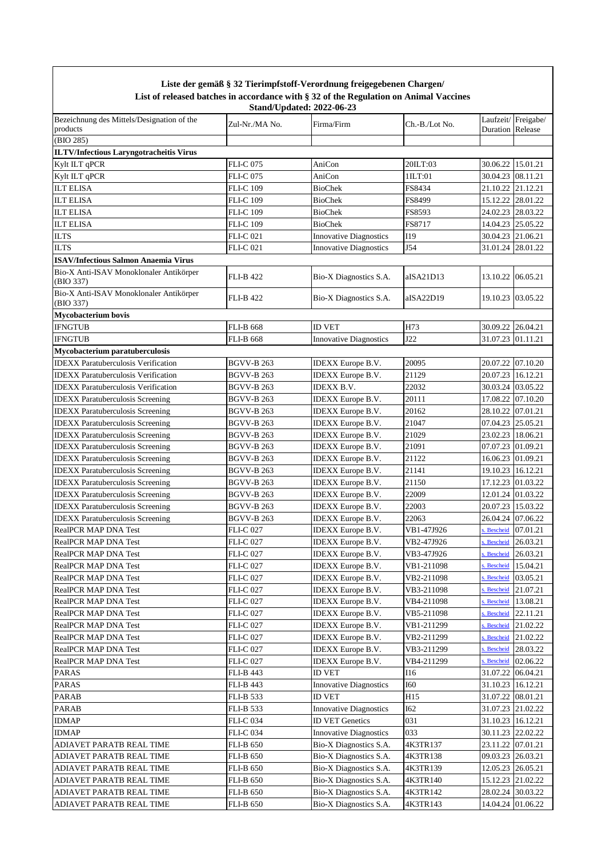|                                                        |                   | Liste der gemäß § 32 Tierimpfstoff-Verordnung freigegebenen Chargen/<br>List of released batches in accordance with § 32 of the Regulation on Animal Vaccines |                 |                         |                    |
|--------------------------------------------------------|-------------------|---------------------------------------------------------------------------------------------------------------------------------------------------------------|-----------------|-------------------------|--------------------|
|                                                        |                   | <b>Stand/Updated: 2022-06-23</b>                                                                                                                              |                 |                         |                    |
| Bezeichnung des Mittels/Designation of the<br>products | Zul-Nr./MA No.    | Firma/Firm                                                                                                                                                    | Ch.-B./Lot No.  | <b>Duration</b> Release | Laufzeit/Freigabe/ |
| (BIO 285)                                              |                   |                                                                                                                                                               |                 |                         |                    |
| <b>ILTV/Infectious Laryngotracheitis Virus</b>         |                   |                                                                                                                                                               |                 |                         |                    |
| Kylt ILT qPCR                                          | <b>FLI-C075</b>   | AniCon                                                                                                                                                        | 20ILT:03        | 30.06.22                | 15.01.21           |
| Kylt ILT qPCR                                          | <b>FLI-C075</b>   | AniCon                                                                                                                                                        | 1ILT:01         | 30.04.23                | 08.11.21           |
| <b>ILT ELISA</b>                                       | <b>FLI-C 109</b>  | <b>BioChek</b>                                                                                                                                                | FS8434          | 21.10.22                | 21.12.21           |
| <b>ILT ELISA</b>                                       | <b>FLI-C 109</b>  | <b>BioChek</b>                                                                                                                                                | FS8499          | 15.12.22                | 28.01.22           |
| <b>ILT ELISA</b>                                       | <b>FLI-C 109</b>  | BioChek                                                                                                                                                       | FS8593          | 24.02.23                | 28.03.22           |
| <b>ILT ELISA</b>                                       | <b>FLI-C 109</b>  | <b>BioChek</b>                                                                                                                                                | FS8717          | 14.04.23                | 25.05.22           |
| <b>ILTS</b>                                            | <b>FLI-C021</b>   | <b>Innovative Diagnostics</b>                                                                                                                                 | I19             | 30.04.23 21.06.21       |                    |
| <b>ILTS</b>                                            | <b>FLI-C021</b>   | <b>Innovative Diagnostics</b>                                                                                                                                 | J54             | 31.01.24                | 28.01.22           |
| <b>ISAV/Infectious Salmon Anaemia Virus</b>            |                   |                                                                                                                                                               |                 |                         |                    |
| Bio-X Anti-ISAV Monoklonaler Antikörper<br>(BIO 337)   | <b>FLI-B 422</b>  | Bio-X Diagnostics S.A.                                                                                                                                        | aISA21D13       | 13.10.22                | 06.05.21           |
| Bio-X Anti-ISAV Monoklonaler Antikörper<br>(BIO 337)   | <b>FLI-B 422</b>  | Bio-X Diagnostics S.A.                                                                                                                                        | aISA22D19       |                         | 19.10.23 03.05.22  |
| <b>Mycobacterium bovis</b>                             |                   |                                                                                                                                                               |                 |                         |                    |
| <b>IFNGTUB</b>                                         | <b>FLI-B 668</b>  | <b>ID VET</b>                                                                                                                                                 | H73             | 30.09.22                | 26.04.21           |
| <b>IFNGTUB</b>                                         | <b>FLI-B 668</b>  | <b>Innovative Diagnostics</b>                                                                                                                                 | J22             | 31.07.23                | 01.11.21           |
| Mycobacterium paratuberculosis                         |                   |                                                                                                                                                               |                 |                         |                    |
| <b>IDEXX</b> Paratuberculosis Verification             | <b>BGVV-B 263</b> | <b>IDEXX</b> Europe B.V.                                                                                                                                      | 20095           | 20.07.22                | 07.10.20           |
| <b>IDEXX Paratuberculosis Verification</b>             | <b>BGVV-B 263</b> | <b>IDEXX</b> Europe B.V.                                                                                                                                      | 21129           | 20.07.23                | 16.12.21           |
| <b>IDEXX</b> Paratuberculosis Verification             | <b>BGVV-B 263</b> | <b>IDEXX B.V.</b>                                                                                                                                             | 22032           |                         | 30.03.24 03.05.22  |
| <b>IDEXX</b> Paratuberculosis Screening                | <b>BGVV-B 263</b> | IDEXX Europe B.V.                                                                                                                                             | 20111           | 17.08.22                | 07.10.20           |
| <b>IDEXX</b> Paratuberculosis Screening                | <b>BGVV-B 263</b> | <b>IDEXX</b> Europe B.V.                                                                                                                                      | 20162           | 28.10.22 07.01.21       |                    |
| <b>IDEXX</b> Paratuberculosis Screening                | <b>BGVV-B 263</b> | <b>IDEXX</b> Europe B.V.                                                                                                                                      | 21047           | 07.04.23 25.05.21       |                    |
| <b>IDEXX</b> Paratuberculosis Screening                | <b>BGVV-B 263</b> | <b>IDEXX</b> Europe B.V.                                                                                                                                      | 21029           | 23.02.23   18.06.21     |                    |
| <b>IDEXX</b> Paratuberculosis Screening                | <b>BGVV-B 263</b> | <b>IDEXX</b> Europe B.V.                                                                                                                                      | 21091           | 07.07.23                | 01.09.21           |
| <b>IDEXX</b> Paratuberculosis Screening                | <b>BGVV-B 263</b> | <b>IDEXX</b> Europe B.V.                                                                                                                                      | 21122           | 16.06.23                | 01.09.21           |
| <b>IDEXX</b> Paratuberculosis Screening                | <b>BGVV-B 263</b> | <b>IDEXX</b> Europe B.V.                                                                                                                                      | 21141           | 19.10.23                | 16.12.21           |
| <b>IDEXX</b> Paratuberculosis Screening                | BGVV-B 263        | <b>IDEXX</b> Europe B.V.                                                                                                                                      | 21150           | 17.12.23                | 01.03.22           |
| <b>IDEXX</b> Paratuberculosis Screening                | <b>BGVV-B 263</b> | <b>IDEXX</b> Europe B.V.                                                                                                                                      | 22009           | 12.01.24                | 01.03.22           |
| <b>IDEXX Paratuberculosis Screening</b>                | <b>BGVV-B 263</b> | IDEXX Europe B.V.                                                                                                                                             | 22003           |                         | 20.07.23 15.03.22  |
| <b>IDEXX</b> Paratuberculosis Screening                | <b>BGVV-B 263</b> | <b>IDEXX</b> Europe B.V.                                                                                                                                      | 22063           | 26.04.24 07.06.22       |                    |
| <b>RealPCR MAP DNA Test</b>                            | <b>FLI-C 027</b>  | <b>IDEXX</b> Europe B.V.                                                                                                                                      | VB1-47J926      | . Bescheid              | 07.01.21           |
| <b>RealPCR MAP DNA Test</b>                            | <b>FLI-C 027</b>  | IDEXX Europe B.V.                                                                                                                                             | VB2-47J926      | <b>Bescheid</b>         | 26.03.21           |
| RealPCR MAP DNA Test                                   | <b>FLI-C 027</b>  | IDEXX Europe B.V.                                                                                                                                             | VB3-47J926      | <b>Bescheid</b>         | 26.03.21           |
| <b>RealPCR MAP DNA Test</b>                            | <b>FLI-C027</b>   | <b>IDEXX</b> Europe B.V.                                                                                                                                      | VB1-211098      | . Bescheid              | 15.04.21           |
| <b>RealPCR MAP DNA Test</b>                            | <b>FLI-C 027</b>  | <b>IDEXX</b> Europe B.V.                                                                                                                                      | VB2-211098      | <b>Bescheid</b>         | 03.05.21           |
| <b>RealPCR MAP DNA Test</b>                            | <b>FLI-C 027</b>  | <b>IDEXX</b> Europe B.V.                                                                                                                                      | VB3-211098      | . Bescheid              | 21.07.21           |
| <b>RealPCR MAP DNA Test</b>                            | <b>FLI-C 027</b>  | <b>IDEXX</b> Europe B.V.                                                                                                                                      | VB4-211098      | <b>Bescheid</b>         | 13.08.21           |
| <b>RealPCR MAP DNA Test</b>                            | <b>FLI-C 027</b>  | <b>IDEXX</b> Europe B.V.                                                                                                                                      | VB5-211098      | <b>Bescheid</b>         | 22.11.21           |
| <b>RealPCR MAP DNA Test</b>                            | <b>FLI-C 027</b>  | <b>IDEXX</b> Europe B.V.                                                                                                                                      | VB1-211299      | . Bescheid              | 21.02.22           |
| <b>RealPCR MAP DNA Test</b>                            | <b>FLI-C 027</b>  | <b>IDEXX</b> Europe B.V.                                                                                                                                      | VB2-211299      | Bescheid                | 21.02.22           |
| <b>RealPCR MAP DNA Test</b>                            | <b>FLI-C027</b>   | <b>IDEXX</b> Europe B.V.                                                                                                                                      | VB3-211299      | . Bescheid              | 28.03.22           |
| RealPCR MAP DNA Test                                   | <b>FLI-C 027</b>  | <b>IDEXX</b> Europe B.V.                                                                                                                                      | VB4-211299      | <b>Bescheid</b>         | 02.06.22           |
| <b>PARAS</b>                                           | FLI-B 443         | ID VET                                                                                                                                                        | I16             | 31.07.22                | 06.04.21           |
| <b>PARAS</b>                                           | FLI-B 443         | <b>Innovative Diagnostics</b>                                                                                                                                 | <b>I60</b>      | 31.10.23 16.12.21       |                    |
| PARAB                                                  | FLI-B 533         | <b>ID VET</b>                                                                                                                                                 | H <sub>15</sub> | 31.07.22 08.01.21       |                    |
| PARAB                                                  | FLI-B 533         | <b>Innovative Diagnostics</b>                                                                                                                                 | I62             | 31.07.23 21.02.22       |                    |
| <b>IDMAP</b>                                           | FLI-C 034         | <b>ID VET Genetics</b>                                                                                                                                        | 031             | 31.10.23 16.12.21       |                    |
| <b>IDMAP</b>                                           | <b>FLI-C 034</b>  | <b>Innovative Diagnostics</b>                                                                                                                                 | 033             |                         | 30.11.23 22.02.22  |
| ADIAVET PARATB REAL TIME                               | <b>FLI-B 650</b>  | Bio-X Diagnostics S.A.                                                                                                                                        | 4K3TR137        | 23.11.22                | 07.01.21           |
| ADIAVET PARATB REAL TIME                               | <b>FLI-B 650</b>  | Bio-X Diagnostics S.A.                                                                                                                                        | 4K3TR138        |                         | 09.03.23 26.03.21  |
| ADIAVET PARATB REAL TIME                               | <b>FLI-B 650</b>  | Bio-X Diagnostics S.A.                                                                                                                                        | 4K3TR139        |                         | 12.05.23 26.05.21  |
| ADIAVET PARATB REAL TIME                               | <b>FLI-B 650</b>  | Bio-X Diagnostics S.A.                                                                                                                                        | 4K3TR140        |                         | 15.12.23 21.02.22  |
| ADIAVET PARATB REAL TIME                               | <b>FLI-B 650</b>  | Bio-X Diagnostics S.A.                                                                                                                                        | 4K3TR142        |                         | 28.02.24 30.03.22  |
| ADIAVET PARATB REAL TIME                               | <b>FLI-B 650</b>  | Bio-X Diagnostics S.A.                                                                                                                                        | 4K3TR143        |                         | 14.04.24 01.06.22  |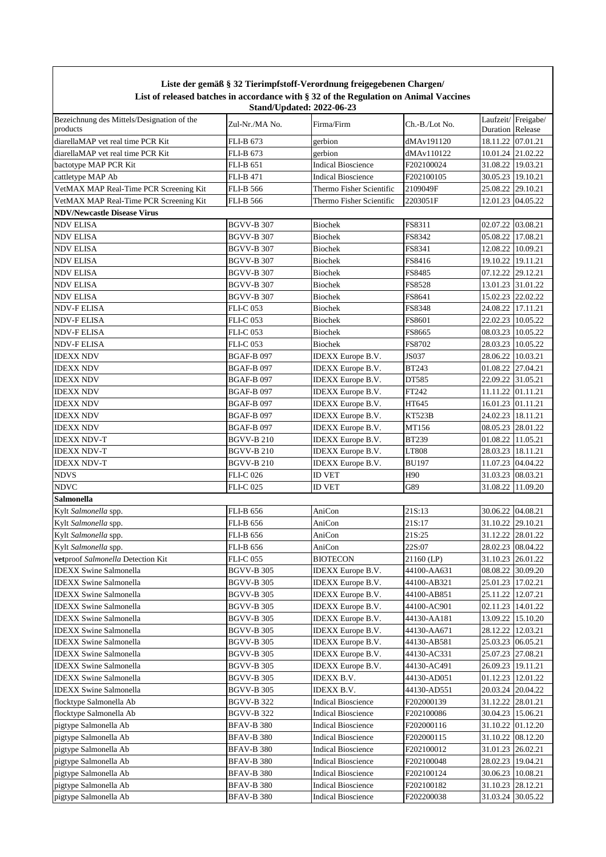| Liste der gemäß § 32 Tierimpfstoff-Verordnung freigegebenen Chargen/<br>List of released batches in accordance with § 32 of the Regulation on Animal Vaccines<br><b>Stand/Updated: 2022-06-23</b> |                   |                           |                |                                               |          |  |  |
|---------------------------------------------------------------------------------------------------------------------------------------------------------------------------------------------------|-------------------|---------------------------|----------------|-----------------------------------------------|----------|--|--|
| Bezeichnung des Mittels/Designation of the<br>products                                                                                                                                            | Zul-Nr./MA No.    | Firma/Firm                | Ch.-B./Lot No. | Laufzeit/Freigabe/<br><b>Duration Release</b> |          |  |  |
| diarellaMAP vet real time PCR Kit                                                                                                                                                                 | FLI-B 673         | gerbion                   | dMAv191120     | 18.11.22 07.01.21                             |          |  |  |
| diarellaMAP vet real time PCR Kit                                                                                                                                                                 | FLI-B 673         | gerbion                   | dMAv110122     | 10.01.24 21.02.22                             |          |  |  |
| bactotype MAP PCR Kit                                                                                                                                                                             | <b>FLI-B 651</b>  | <b>Indical Bioscience</b> | F202100024     | 31.08.22 19.03.21                             |          |  |  |
| cattletype MAP Ab                                                                                                                                                                                 | <b>FLI-B 471</b>  | <b>Indical Bioscience</b> | F202100105     | 30.05.23 19.10.21                             |          |  |  |
| VetMAX MAP Real-Time PCR Screening Kit                                                                                                                                                            | <b>FLI-B 566</b>  | Thermo Fisher Scientific  | 2109049F       | 25.08.22 29.10.21                             |          |  |  |
| VetMAX MAP Real-Time PCR Screening Kit                                                                                                                                                            | <b>FLI-B 566</b>  | Thermo Fisher Scientific  | 2203051F       | 12.01.23 04.05.22                             |          |  |  |
| <b>NDV/Newcastle Disease Virus</b>                                                                                                                                                                |                   |                           |                |                                               |          |  |  |
| NDV ELISA                                                                                                                                                                                         | <b>BGVV-B 307</b> | <b>Biochek</b>            | FS8311         | 02.07.22                                      | 03.08.21 |  |  |
| NDV ELISA                                                                                                                                                                                         | <b>BGVV-B 307</b> | <b>Biochek</b>            | FS8342         | 05.08.22                                      | 17.08.21 |  |  |
| NDV ELISA                                                                                                                                                                                         | <b>BGVV-B 307</b> | <b>Biochek</b>            | FS8341         | 12.08.22                                      | 10.09.21 |  |  |
| NDV ELISA                                                                                                                                                                                         | <b>BGVV-B 307</b> | <b>Biochek</b>            | FS8416         | 19.10.22 19.11.21                             |          |  |  |
| NDV ELISA                                                                                                                                                                                         | <b>BGVV-B 307</b> | <b>Biochek</b>            | <b>FS8485</b>  | 07.12.22 29.12.21                             |          |  |  |
| NDV ELISA                                                                                                                                                                                         | <b>BGVV-B 307</b> | <b>Biochek</b>            | FS8528         | 13.01.23 31.01.22                             |          |  |  |
| NDV ELISA                                                                                                                                                                                         | <b>BGVV-B 307</b> | <b>Biochek</b>            | FS8641         | 15.02.23 22.02.22                             |          |  |  |
| NDV-F ELISA                                                                                                                                                                                       | <b>FLI-C053</b>   | <b>Biochek</b>            | FS8348         | 24.08.22 17.11.21                             |          |  |  |
| NDV-F ELISA                                                                                                                                                                                       | <b>FLI-C 053</b>  | <b>Biochek</b>            | FS8601         | 22.02.23 10.05.22                             |          |  |  |
| NDV-F ELISA                                                                                                                                                                                       | <b>FLI-C 053</b>  | <b>Biochek</b>            | FS8665         | 08.03.23 10.05.22                             |          |  |  |
| NDV-F ELISA                                                                                                                                                                                       | FLI-C 053         | <b>Biochek</b>            | FS8702         | 28.03.23 10.05.22                             |          |  |  |
| IDEXX NDV                                                                                                                                                                                         | <b>BGAF-B097</b>  | <b>IDEXX</b> Europe B.V.  | <b>JS037</b>   | 28.06.22                                      | 10.03.21 |  |  |
| <b>IDEXX NDV</b>                                                                                                                                                                                  | BGAF-B 097        | <b>IDEXX</b> Europe B.V.  | <b>BT243</b>   | 01.08.22 27.04.21                             |          |  |  |
| <b>IDEXX NDV</b>                                                                                                                                                                                  | <b>BGAF-B097</b>  | IDEXX Europe B.V.         | DT585          | 22.09.22 31.05.21                             |          |  |  |
| <b>IDEXX NDV</b>                                                                                                                                                                                  | <b>BGAF-B097</b>  | IDEXX Europe B.V.         | FT242          | 11.11.22 01.11.21                             |          |  |  |
| IDEXX NDV                                                                                                                                                                                         | <b>BGAF-B097</b>  | IDEXX Europe B.V.         | HT645          | 16.01.23 01.11.21                             |          |  |  |
| <b>IDEXX NDV</b>                                                                                                                                                                                  | BGAF-B 097        | <b>IDEXX</b> Europe B.V.  | <b>KT523B</b>  | 24.02.23 18.11.21                             |          |  |  |
| <b>IDEXX NDV</b>                                                                                                                                                                                  | BGAF-B 097        | <b>IDEXX</b> Europe B.V.  | MT156          | 08.05.23 28.01.22                             |          |  |  |
| IDEXX NDV-T                                                                                                                                                                                       | BGVV-B 210        | <b>IDEXX</b> Europe B.V.  | <b>BT239</b>   | 01.08.22 11.05.21                             |          |  |  |
| <b>IDEXX NDV-T</b>                                                                                                                                                                                | <b>BGVV-B 210</b> | IDEXX Europe B.V.         | LT808          | 28.03.23 18.11.21                             |          |  |  |
| <b>IDEXX NDV-T</b>                                                                                                                                                                                | <b>BGVV-B 210</b> | <b>IDEXX</b> Europe B.V.  | <b>BU197</b>   | 11.07.23 04.04.22                             |          |  |  |
| NDVS                                                                                                                                                                                              | <b>FLI-C 026</b>  | <b>ID VET</b>             | H90            | 31.03.23 08.03.21                             |          |  |  |
| <b>NDVC</b>                                                                                                                                                                                       | <b>FLI-C 025</b>  | <b>ID VET</b>             | G89            | 31.08.22                                      | 11.09.20 |  |  |
| Salmonella                                                                                                                                                                                        |                   |                           |                |                                               |          |  |  |
| Kylt Salmonella spp.                                                                                                                                                                              | <b>FLI-B 656</b>  | AniCon                    | 21S:13         | 30.06.22                                      | 04.08.21 |  |  |
| Kylt Salmonella spp.                                                                                                                                                                              | <b>FLI-B 656</b>  | AniCon                    | 21S:17         | 31.10.22 29.10.21                             |          |  |  |
| Kylt Salmonella spp.                                                                                                                                                                              | <b>FLI-B 656</b>  | AniCon                    | 21S:25         | 31.12.22 28.01.22                             |          |  |  |
| Kylt Salmonella spp.                                                                                                                                                                              | <b>FLI-B 656</b>  | AniCon                    | 22S:07         | 28.02.23 08.04.22                             |          |  |  |
| vetproof Salmonella Detection Kit                                                                                                                                                                 | <b>FLI-C 055</b>  | <b>BIOTECON</b>           | 21160 (LP)     | 31.10.23 26.01.22                             |          |  |  |
| <b>IDEXX Swine Salmonella</b>                                                                                                                                                                     | BGVV-B 305        | <b>IDEXX</b> Europe B.V.  | 44100-AA631    | 08.08.22 30.09.20                             |          |  |  |
| <b>IDEXX Swine Salmonella</b>                                                                                                                                                                     | <b>BGVV-B 305</b> | <b>IDEXX</b> Europe B.V.  | 44100-AB321    | 25.01.23 17.02.21                             |          |  |  |
| <b>IDEXX Swine Salmonella</b>                                                                                                                                                                     | BGVV-B 305        | <b>IDEXX</b> Europe B.V.  | 44100-AB851    | 25.11.22   12.07.21                           |          |  |  |
| <b>IDEXX Swine Salmonella</b>                                                                                                                                                                     | BGVV-B 305        | <b>IDEXX</b> Europe B.V.  | 44100-AC901    | 02.11.23 14.01.22                             |          |  |  |
| <b>IDEXX Swine Salmonella</b>                                                                                                                                                                     | BGVV-B 305        | IDEXX Europe B.V.         | 44130-AA181    | 13.09.22 15.10.20                             |          |  |  |
| <b>IDEXX Swine Salmonella</b>                                                                                                                                                                     | BGVV-B 305        | IDEXX Europe B.V.         | 44130-AA671    | 28.12.22                                      | 12.03.21 |  |  |
| <b>IDEXX Swine Salmonella</b>                                                                                                                                                                     | BGVV-B 305        | <b>IDEXX</b> Europe B.V.  | 44130-AB581    | 25.03.23 06.05.21                             |          |  |  |
| <b>IDEXX Swine Salmonella</b>                                                                                                                                                                     | BGVV-B 305        | <b>IDEXX</b> Europe B.V.  | 44130-AC331    | 25.07.23 27.08.21                             |          |  |  |
| <b>IDEXX Swine Salmonella</b>                                                                                                                                                                     | BGVV-B 305        | <b>IDEXX</b> Europe B.V.  | 44130-AC491    | 26.09.23 19.11.21                             |          |  |  |
| <b>IDEXX Swine Salmonella</b>                                                                                                                                                                     | BGVV-B 305        | IDEXX B.V.                | 44130-AD051    | 01.12.23 12.01.22                             |          |  |  |
| <b>IDEXX Swine Salmonella</b>                                                                                                                                                                     | BGVV-B 305        | IDEXX B.V.                | 44130-AD551    | 20.03.24 20.04.22                             |          |  |  |
| flocktype Salmonella Ab                                                                                                                                                                           | BGVV-B 322        | <b>Indical Bioscience</b> | F202000139     | 31.12.22 28.01.21                             |          |  |  |
| flocktype Salmonella Ab                                                                                                                                                                           | BGVV-B 322        | <b>Indical Bioscience</b> | F202100086     | 30.04.23   15.06.21                           |          |  |  |
| pigtype Salmonella Ab                                                                                                                                                                             | BFAV-B 380        | <b>Indical Bioscience</b> | F202000116     | 31.10.22                                      | 01.12.20 |  |  |
| pigtype Salmonella Ab                                                                                                                                                                             | BFAV-B 380        | <b>Indical Bioscience</b> | F202000115     | 31.10.22                                      | 08.12.20 |  |  |
| pigtype Salmonella Ab                                                                                                                                                                             | BFAV-B 380        | <b>Indical Bioscience</b> | F202100012     | 31.01.23 26.02.21                             |          |  |  |
| pigtype Salmonella Ab                                                                                                                                                                             | <b>BFAV-B 380</b> | <b>Indical Bioscience</b> | F202100048     | 28.02.23 19.04.21                             |          |  |  |
| pigtype Salmonella Ab                                                                                                                                                                             | <b>BFAV-B 380</b> | <b>Indical Bioscience</b> | F202100124     | 30.06.23 10.08.21                             |          |  |  |
| pigtype Salmonella Ab                                                                                                                                                                             | <b>BFAV-B 380</b> | <b>Indical Bioscience</b> | F202100182     | 31.10.23 28.12.21                             |          |  |  |

pigtype Salmonella Ab BFAV-B 380 Indical Bioscience F202200038 31.03.24 30.05.22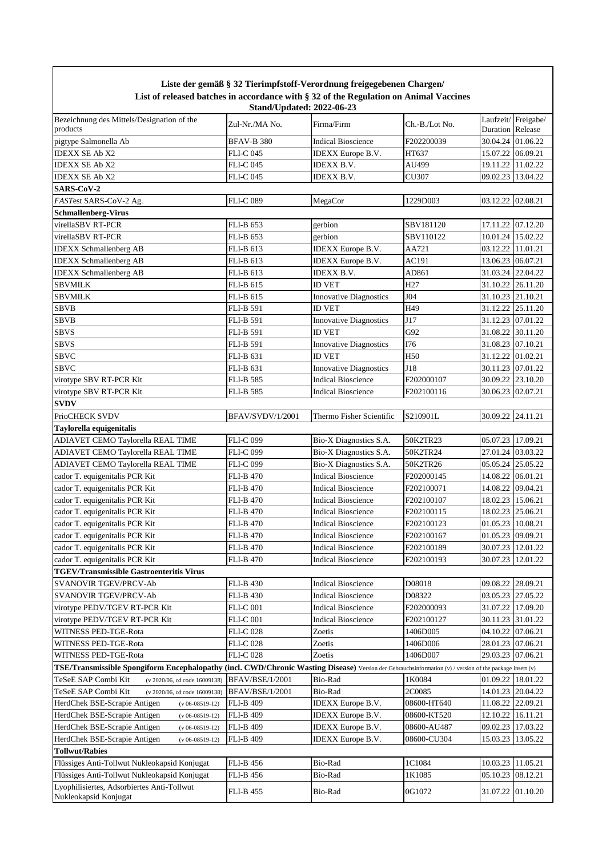|                                                                                                                                                          |                                                    | Liste der gemäß § 32 Tierimpfstoff-Verordnung freigegebenen Chargen/<br>List of released batches in accordance with § 32 of the Regulation on Animal Vaccines |                 |                                        |  |
|----------------------------------------------------------------------------------------------------------------------------------------------------------|----------------------------------------------------|---------------------------------------------------------------------------------------------------------------------------------------------------------------|-----------------|----------------------------------------|--|
| Bezeichnung des Mittels/Designation of the<br>products                                                                                                   | <b>Stand/Updated: 2022-06-23</b><br>Zul-Nr./MA No. | Firma/Firm                                                                                                                                                    | Ch.-B./Lot No.  | Laufzeit/Freigabe/<br>Duration Release |  |
| pigtype Salmonella Ab                                                                                                                                    | <b>BFAV-B 380</b>                                  | <b>Indical Bioscience</b>                                                                                                                                     | F202200039      | 30.04.24 01.06.22                      |  |
| <b>IDEXX SE Ab X2</b>                                                                                                                                    | FLI-C 045                                          | <b>IDEXX</b> Europe B.V.                                                                                                                                      | HT637           | 15.07.22 06.09.21                      |  |
| <b>IDEXX SE Ab X2</b>                                                                                                                                    | FLI-C 045                                          | IDEXX B.V.                                                                                                                                                    | AU499           | 19.11.22 11.02.22                      |  |
| <b>IDEXX SE Ab X2</b>                                                                                                                                    | <b>FLI-C 045</b>                                   | IDEXX B.V.                                                                                                                                                    | CU307           | 09.02.23 13.04.22                      |  |
| SARS-CoV-2                                                                                                                                               |                                                    |                                                                                                                                                               |                 |                                        |  |
| FASTest SARS-CoV-2 Ag.                                                                                                                                   | <b>FLI-C089</b>                                    | MegaCor                                                                                                                                                       | 1229D003        | 03.12.22 02.08.21                      |  |
| <b>Schmallenberg-Virus</b>                                                                                                                               |                                                    |                                                                                                                                                               |                 |                                        |  |
| virellaSBV RT-PCR                                                                                                                                        | <b>FLI-B 653</b>                                   | gerbion                                                                                                                                                       | SBV181120       | 17.11.22 07.12.20                      |  |
| virellaSBV RT-PCR                                                                                                                                        | FLI-B 653                                          | gerbion                                                                                                                                                       | SBV110122       | 10.01.24 15.02.22                      |  |
| <b>IDEXX</b> Schmallenberg AB                                                                                                                            | <b>FLI-B 613</b>                                   | IDEXX Europe B.V.                                                                                                                                             | AA721           | 03.12.22 11.01.21                      |  |
| <b>IDEXX</b> Schmallenberg AB                                                                                                                            | FLI-B 613                                          | IDEXX Europe B.V.                                                                                                                                             | AC191           | 13.06.23 06.07.21                      |  |
| <b>IDEXX</b> Schmallenberg AB                                                                                                                            | FLI-B 613                                          | <b>IDEXX B.V.</b>                                                                                                                                             | AD861           | 31.03.24 22.04.22                      |  |
| <b>SBVMILK</b>                                                                                                                                           | <b>FLI-B 615</b>                                   | <b>ID VET</b>                                                                                                                                                 | H <sub>27</sub> | 31.10.22 26.11.20                      |  |
| <b>SBVMILK</b>                                                                                                                                           | <b>FLI-B 615</b>                                   | <b>Innovative Diagnostics</b>                                                                                                                                 | J04             | 31.10.23 21.10.21                      |  |
| <b>SBVB</b>                                                                                                                                              | <b>FLI-B 591</b>                                   | <b>ID VET</b>                                                                                                                                                 | H49             | 31.12.22 25.11.20                      |  |
| <b>SBVB</b>                                                                                                                                              | <b>FLI-B 591</b>                                   | <b>Innovative Diagnostics</b>                                                                                                                                 | J17             | 31.12.23 07.01.22                      |  |
| <b>SBVS</b>                                                                                                                                              | <b>FLI-B 591</b>                                   | <b>ID VET</b>                                                                                                                                                 | G92             | 31.08.22 30.11.20                      |  |
| <b>SBVS</b>                                                                                                                                              | <b>FLI-B 591</b>                                   | <b>Innovative Diagnostics</b>                                                                                                                                 | I76             | 31.08.23 07.10.21                      |  |
| <b>SBVC</b>                                                                                                                                              | FLI-B 631                                          | <b>ID VET</b>                                                                                                                                                 | H50             | 31.12.22 01.02.21                      |  |
| <b>SBVC</b>                                                                                                                                              | FLI-B 631                                          | <b>Innovative Diagnostics</b>                                                                                                                                 | J18             | 30.11.23 07.01.22                      |  |
| virotype SBV RT-PCR Kit                                                                                                                                  | <b>FLI-B 585</b>                                   | <b>Indical Bioscience</b>                                                                                                                                     | F202000107      | 30.09.22 23.10.20                      |  |
| virotype SBV RT-PCR Kit                                                                                                                                  | FLI-B 585                                          | <b>Indical Bioscience</b>                                                                                                                                     | F202100116      | 30.06.23 02.07.21                      |  |
| <b>SVDV</b>                                                                                                                                              |                                                    |                                                                                                                                                               |                 |                                        |  |
| PrioCHECK SVDV                                                                                                                                           | <b>BFAV/SVDV/1/2001</b>                            | Thermo Fisher Scientific                                                                                                                                      | S210901L        | 30.09.22 24.11.21                      |  |
| Taylorella equigenitalis                                                                                                                                 |                                                    |                                                                                                                                                               |                 |                                        |  |
| ADIAVET CEMO Taylorella REAL TIME                                                                                                                        | <b>FLI-C099</b>                                    | Bio-X Diagnostics S.A.                                                                                                                                        | 50K2TR23        | 05.07.23 17.09.21                      |  |
| ADIAVET CEMO Taylorella REAL TIME                                                                                                                        | FLI-C 099                                          | Bio-X Diagnostics S.A.                                                                                                                                        | 50K2TR24        | 27.01.24 03.03.22                      |  |
| ADIAVET CEMO Taylorella REAL TIME                                                                                                                        | FLI-C 099                                          | Bio-X Diagnostics S.A.                                                                                                                                        | 50K2TR26        | 05.05.24 25.05.22                      |  |
| cador T. equigenitalis PCR Kit                                                                                                                           | FLI-B 470                                          | <b>Indical Bioscience</b>                                                                                                                                     | F202000145      | 14.08.22 06.01.21                      |  |
| cador T. equigenitalis PCR Kit                                                                                                                           | FLI-B 470                                          | <b>Indical Bioscience</b>                                                                                                                                     | F202100071      | 14.08.22 09.04.21                      |  |
| cador T. equigenitalis PCR Kit                                                                                                                           | FLI-B 470                                          | <b>Indical Bioscience</b>                                                                                                                                     | F202100107      | 18.02.23 15.06.21                      |  |
| cador T. equigenitalis PCR Kit                                                                                                                           | <b>FLI-B 470</b>                                   | <b>Indical Bioscience</b>                                                                                                                                     | F202100115      | 18.02.23 25.06.21                      |  |
| cador T. equigenitalis PCR Kit                                                                                                                           | <b>FLI-B 470</b>                                   | <b>Indical Bioscience</b>                                                                                                                                     | F202100123      | 01.05.23 10.08.21                      |  |
| cador T. equigenitalis PCR Kit                                                                                                                           | <b>FLI-B 470</b>                                   | <b>Indical Bioscience</b>                                                                                                                                     | F202100167      | 01.05.23 09.09.21                      |  |
| cador T. equigenitalis PCR Kit                                                                                                                           | <b>FLI-B 470</b>                                   | <b>Indical Bioscience</b>                                                                                                                                     | F202100189      | 30.07.23 12.01.22                      |  |
| cador T. equigenitalis PCR Kit                                                                                                                           | <b>FLI-B 470</b>                                   | <b>Indical Bioscience</b>                                                                                                                                     | F202100193      | 30.07.23 12.01.22                      |  |
| <b>TGEV/Transmissible Gastroenteritis Virus</b>                                                                                                          |                                                    |                                                                                                                                                               |                 |                                        |  |
| SVANOVIR TGEV/PRCV-Ab                                                                                                                                    | <b>FLI-B 430</b>                                   | <b>Indical Bioscience</b>                                                                                                                                     | D08018          | 09.08.22 28.09.21                      |  |
| SVANOVIR TGEV/PRCV-Ab                                                                                                                                    | <b>FLI-B 430</b>                                   | <b>Indical Bioscience</b>                                                                                                                                     | D08322          | 03.05.23 27.05.22                      |  |
| virotype PEDV/TGEV RT-PCR Kit                                                                                                                            | <b>FLI-C 001</b>                                   | <b>Indical Bioscience</b>                                                                                                                                     | F202000093      | 31.07.22 17.09.20                      |  |
| virotype PEDV/TGEV RT-PCR Kit                                                                                                                            | <b>FLI-C 001</b>                                   | <b>Indical Bioscience</b>                                                                                                                                     | F202100127      | 30.11.23 31.01.22                      |  |
| WITNESS PED-TGE-Rota                                                                                                                                     | <b>FLI-C 028</b>                                   | Zoetis                                                                                                                                                        | 1406D005        | 04.10.22 07.06.21                      |  |
| WITNESS PED-TGE-Rota                                                                                                                                     | <b>FLI-C028</b>                                    | Zoetis                                                                                                                                                        | 1406D006        | 28.01.23 07.06.21                      |  |
| WITNESS PED-TGE-Rota                                                                                                                                     | <b>FLI-C 028</b>                                   | Zoetis                                                                                                                                                        | 1406D007        | 29.03.23 07.06.21                      |  |
| TSE/Transmissible Spongiform Encephalopathy (incl. CWD/Chronic Wasting Disease) Version der Gebrauchsinformation (v) / version of the package insert (v) |                                                    |                                                                                                                                                               |                 |                                        |  |
| TeSeE SAP Combi Kit<br>(v 2020/06, cd code 16009138)                                                                                                     | <b>BFAV/BSE/1/2001</b>                             | Bio-Rad                                                                                                                                                       | 1K0084          | 01.09.22 18.01.22                      |  |
| TeSeE SAP Combi Kit<br>(v 2020/06, cd code 16009138)                                                                                                     | BFAV/BSE/1/2001                                    | Bio-Rad                                                                                                                                                       | 2C0085          | 14.01.23 20.04.22                      |  |
| HerdChek BSE-Scrapie Antigen<br>$(v 06-08519-12)$                                                                                                        | <b>FLI-B 409</b>                                   | <b>IDEXX</b> Europe B.V.                                                                                                                                      | 08600-HT640     | 11.08.22 22.09.21                      |  |
| HerdChek BSE-Scrapie Antigen<br>$(v 06-08519-12)$                                                                                                        | <b>FLI-B 409</b>                                   | <b>IDEXX</b> Europe B.V.                                                                                                                                      | 08600-KT520     | 12.10.22 16.11.21                      |  |
| HerdChek BSE-Scrapie Antigen<br>$(v 06-08519-12)$                                                                                                        | <b>FLI-B 409</b>                                   | IDEXX Europe B.V.                                                                                                                                             | 08600-AU487     | 09.02.23 17.03.22                      |  |
| HerdChek BSE-Scrapie Antigen<br>$(v 06-08519-12)$                                                                                                        | FLI-B 409                                          | <b>IDEXX</b> Europe B.V.                                                                                                                                      | 08600-CU304     | 15.03.23 13.05.22                      |  |
| <b>Tollwut/Rabies</b>                                                                                                                                    |                                                    |                                                                                                                                                               |                 |                                        |  |
| Flüssiges Anti-Tollwut Nukleokapsid Konjugat                                                                                                             | <b>FLI-B 456</b>                                   | Bio-Rad                                                                                                                                                       | 1C1084          | 10.03.23 11.05.21                      |  |
| Flüssiges Anti-Tollwut Nukleokapsid Konjugat                                                                                                             | FLI-B 456                                          | Bio-Rad                                                                                                                                                       | 1K1085          | 05.10.23 08.12.21                      |  |
| Lyophilisiertes, Adsorbiertes Anti-Tollwut                                                                                                               |                                                    |                                                                                                                                                               |                 |                                        |  |
| Nukleokapsid Konjugat                                                                                                                                    | <b>FLI-B 455</b>                                   | Bio-Rad                                                                                                                                                       | 0G1072          | 31.07.22 01.10.20                      |  |